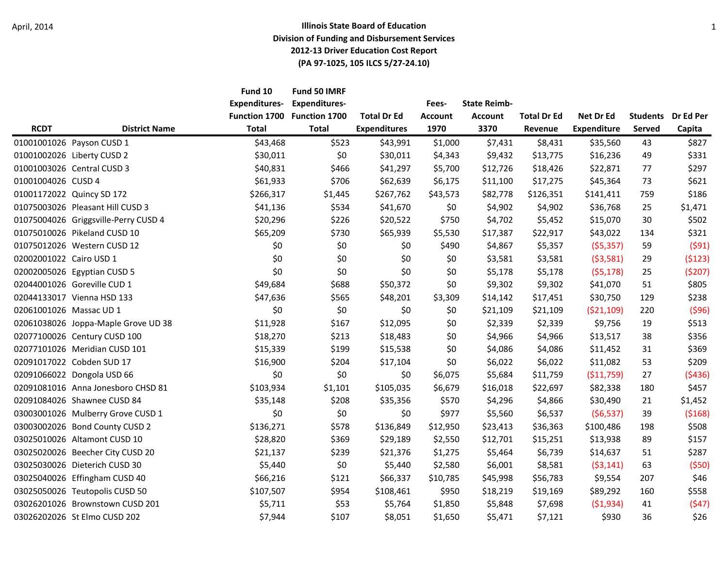|                         |                                      | Fund 10<br><b>Expenditures-</b> | Fund 50 IMRF<br><b>Expenditures-</b> |                     | Fees-          | <b>State Reimb-</b> |                    |                    |                 |           |
|-------------------------|--------------------------------------|---------------------------------|--------------------------------------|---------------------|----------------|---------------------|--------------------|--------------------|-----------------|-----------|
|                         |                                      | Function 1700                   | Function 1700                        | <b>Total Dr Ed</b>  | <b>Account</b> | <b>Account</b>      | <b>Total Dr Ed</b> | Net Dr Ed          | <b>Students</b> | Dr Ed Per |
| <b>RCDT</b>             | <b>District Name</b>                 | <b>Total</b>                    | <b>Total</b>                         | <b>Expenditures</b> | 1970           | 3370                | Revenue            | <b>Expenditure</b> | <b>Served</b>   | Capita    |
|                         | 01001001026 Payson CUSD 1            | \$43,468                        | \$523                                | \$43,991            | \$1,000        | \$7,431             | \$8,431            | \$35,560           | 43              | \$827     |
|                         | 01001002026 Liberty CUSD 2           | \$30,011                        | \$0                                  | \$30,011            | \$4,343        | \$9,432             | \$13,775           | \$16,236           | 49              | \$331     |
|                         | 01001003026 Central CUSD 3           | \$40,831                        | \$466                                | \$41,297            | \$5,700        | \$12,726            | \$18,426           | \$22,871           | 77              | \$297     |
| 01001004026 CUSD 4      |                                      | \$61,933                        | \$706                                | \$62,639            | \$6,175        | \$11,100            | \$17,275           | \$45,364           | 73              | \$621     |
|                         | 01001172022 Quincy SD 172            | \$266,317                       | \$1,445                              | \$267,762           | \$43,573       | \$82,778            | \$126,351          | \$141,411          | 759             | \$186     |
|                         | 01075003026 Pleasant Hill CUSD 3     | \$41,136                        | \$534                                | \$41,670            | \$0            | \$4,902             | \$4,902            | \$36,768           | 25              | \$1,471   |
|                         | 01075004026 Griggsville-Perry CUSD 4 | \$20,296                        | \$226                                | \$20,522            | \$750          | \$4,702             | \$5,452            | \$15,070           | 30              | \$502     |
|                         | 01075010026 Pikeland CUSD 10         | \$65,209                        | \$730                                | \$65,939            | \$5,530        | \$17,387            | \$22,917           | \$43,022           | 134             | \$321     |
|                         | 01075012026 Western CUSD 12          | \$0                             | \$0                                  | \$0                 | \$490          | \$4,867             | \$5,357            | (55, 357)          | 59              | (591)     |
| 02002001022 Cairo USD 1 |                                      | \$0                             | \$0                                  | \$0                 | \$0            | \$3,581             | \$3,581            | (53,581)           | 29              | (5123)    |
|                         | 02002005026 Egyptian CUSD 5          | \$0                             | \$0                                  | \$0                 | \$0            | \$5,178             | \$5,178            | (55, 178)          | 25              | (5207)    |
|                         | 02044001026 Goreville CUD 1          | \$49,684                        | \$688                                | \$50,372            | \$0            | \$9,302             | \$9,302            | \$41,070           | 51              | \$805     |
|                         | 02044133017 Vienna HSD 133           | \$47,636                        | \$565                                | \$48,201            | \$3,309        | \$14,142            | \$17,451           | \$30,750           | 129             | \$238     |
| 02061001026 Massac UD 1 |                                      | \$0                             | \$0                                  | \$0                 | \$0            | \$21,109            | \$21,109           | (521, 109)         | 220             | (596)     |
|                         | 02061038026 Joppa-Maple Grove UD 38  | \$11,928                        | \$167                                | \$12,095            | \$0            | \$2,339             | \$2,339            | \$9,756            | 19              | \$513     |
|                         | 02077100026 Century CUSD 100         | \$18,270                        | \$213                                | \$18,483            | \$0            | \$4,966             | \$4,966            | \$13,517           | 38              | \$356     |
|                         | 02077101026 Meridian CUSD 101        | \$15,339                        | \$199                                | \$15,538            | \$0            | \$4,086             | \$4,086            | \$11,452           | 31              | \$369     |
|                         | 02091017022 Cobden SUD 17            | \$16,900                        | \$204                                | \$17,104            | \$0            | \$6,022             | \$6,022            | \$11,082           | 53              | \$209     |
|                         | 02091066022 Dongola USD 66           | \$0                             | \$0                                  | \$0                 | \$6,075        | \$5,684             | \$11,759           | ( \$11,759)        | 27              | (5436)    |
|                         | 02091081016 Anna Jonesboro CHSD 81   | \$103,934                       | \$1,101                              | \$105,035           | \$6,679        | \$16,018            | \$22,697           | \$82,338           | 180             | \$457     |
|                         | 02091084026 Shawnee CUSD 84          | \$35,148                        | \$208                                | \$35,356            | \$570          | \$4,296             | \$4,866            | \$30,490           | 21              | \$1,452   |
|                         | 03003001026 Mulberry Grove CUSD 1    | \$0                             | \$0                                  | \$0                 | \$977          | \$5,560             | \$6,537            | (56, 537)          | 39              | (5168)    |
|                         | 03003002026 Bond County CUSD 2       | \$136,271                       | \$578                                | \$136,849           | \$12,950       | \$23,413            | \$36,363           | \$100,486          | 198             | \$508     |
|                         | 03025010026 Altamont CUSD 10         | \$28,820                        | \$369                                | \$29,189            | \$2,550        | \$12,701            | \$15,251           | \$13,938           | 89              | \$157     |
|                         | 03025020026 Beecher City CUSD 20     | \$21,137                        | \$239                                | \$21,376            | \$1,275        | \$5,464             | \$6,739            | \$14,637           | 51              | \$287     |
|                         | 03025030026 Dieterich CUSD 30        | \$5,440                         | \$0                                  | \$5,440             | \$2,580        | \$6,001             | \$8,581            | (53, 141)          | 63              | (550)     |
|                         | 03025040026 Effingham CUSD 40        | \$66,216                        | \$121                                | \$66,337            | \$10,785       | \$45,998            | \$56,783           | \$9,554            | 207             | \$46      |
|                         | 03025050026 Teutopolis CUSD 50       | \$107,507                       | \$954                                | \$108,461           | \$950          | \$18,219            | \$19,169           | \$89,292           | 160             | \$558     |
|                         | 03026201026 Brownstown CUSD 201      | \$5,711                         | \$53                                 | \$5,764             | \$1,850        | \$5,848             | \$7,698            | (51,934)           | 41              | (547)     |
|                         | 03026202026 St Elmo CUSD 202         | \$7,944                         | \$107                                | \$8,051             | \$1,650        | \$5,471             | \$7,121            | \$930              | 36              | \$26      |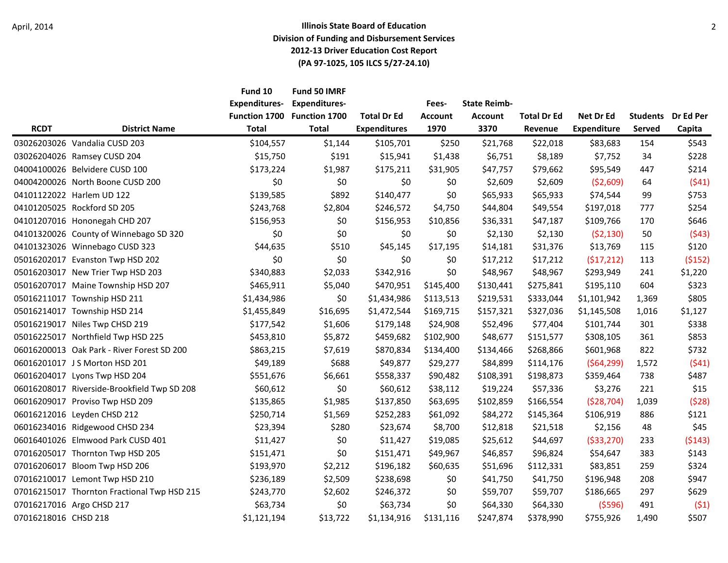|                      |                                             | Fund 10<br><b>Expenditures-</b> | Fund 50 IMRF<br><b>Expenditures-</b> |                                           | Fees-                  | <b>State Reimb-</b>    |                               |                                 |                           |                     |
|----------------------|---------------------------------------------|---------------------------------|--------------------------------------|-------------------------------------------|------------------------|------------------------|-------------------------------|---------------------------------|---------------------------|---------------------|
| <b>RCDT</b>          | <b>District Name</b>                        | Function 1700<br><b>Total</b>   | <b>Function 1700</b><br><b>Total</b> | <b>Total Dr Ed</b><br><b>Expenditures</b> | <b>Account</b><br>1970 | <b>Account</b><br>3370 | <b>Total Dr Ed</b><br>Revenue | Net Dr Ed<br><b>Expenditure</b> | <b>Students</b><br>Served | Dr Ed Per<br>Capita |
|                      | 03026203026 Vandalia CUSD 203               | \$104,557                       | \$1,144                              | \$105,701                                 | \$250                  | \$21,768               | \$22,018                      | \$83,683                        | 154                       | \$543               |
|                      | 03026204026 Ramsey CUSD 204                 | \$15,750                        | \$191                                | \$15,941                                  | \$1,438                | \$6,751                | \$8,189                       | \$7,752                         | 34                        | \$228               |
|                      | 04004100026 Belvidere CUSD 100              | \$173,224                       | \$1,987                              | \$175,211                                 | \$31,905               | \$47,757               | \$79,662                      | \$95,549                        | 447                       | \$214               |
|                      | 04004200026 North Boone CUSD 200            | \$0                             | \$0                                  | \$0                                       | \$0                    | \$2,609                | \$2,609                       | ( \$2,609)                      | 64                        | (541)               |
|                      | 04101122022 Harlem UD 122                   | \$139,585                       | \$892                                | \$140,477                                 | \$0                    | \$65,933               | \$65,933                      | \$74,544                        | 99                        | \$753               |
|                      | 04101205025 Rockford SD 205                 | \$243,768                       | \$2,804                              | \$246,572                                 | \$4,750                | \$44,804               | \$49,554                      | \$197,018                       | 777                       | \$254               |
|                      | 04101207016 Hononegah CHD 207               | \$156,953                       | \$0                                  | \$156,953                                 | \$10,856               | \$36,331               | \$47,187                      | \$109,766                       | 170                       | \$646               |
|                      | 04101320026 County of Winnebago SD 320      | \$0                             | \$0                                  | \$0                                       | \$0\$                  | \$2,130                | \$2,130                       | (52, 130)                       | 50                        | (543)               |
|                      | 04101323026 Winnebago CUSD 323              | \$44,635                        | \$510                                | \$45,145                                  | \$17,195               | \$14,181               | \$31,376                      | \$13,769                        | 115                       | \$120               |
|                      | 05016202017 Evanston Twp HSD 202            | \$0                             | \$0                                  | \$0                                       | \$0                    | \$17,212               | \$17,212                      | (517, 212)                      | 113                       | (5152)              |
|                      | 05016203017 New Trier Twp HSD 203           | \$340,883                       | \$2,033                              | \$342,916                                 | \$0                    | \$48,967               | \$48,967                      | \$293,949                       | 241                       | \$1,220             |
|                      | 05016207017 Maine Township HSD 207          | \$465,911                       | \$5,040                              | \$470,951                                 | \$145,400              | \$130,441              | \$275,841                     | \$195,110                       | 604                       | \$323               |
|                      | 05016211017 Township HSD 211                | \$1,434,986                     | \$0                                  | \$1,434,986                               | \$113,513              | \$219,531              | \$333,044                     | \$1,101,942                     | 1,369                     | \$805               |
|                      | 05016214017 Township HSD 214                | \$1,455,849                     | \$16,695                             | \$1,472,544                               | \$169,715              | \$157,321              | \$327,036                     | \$1,145,508                     | 1,016                     | \$1,127             |
|                      | 05016219017 Niles Twp CHSD 219              | \$177,542                       | \$1,606                              | \$179,148                                 | \$24,908               | \$52,496               | \$77,404                      | \$101,744                       | 301                       | \$338               |
|                      | 05016225017 Northfield Twp HSD 225          | \$453,810                       | \$5,872                              | \$459,682                                 | \$102,900              | \$48,677               | \$151,577                     | \$308,105                       | 361                       | \$853               |
|                      | 06016200013 Oak Park - River Forest SD 200  | \$863,215                       | \$7,619                              | \$870,834                                 | \$134,400              | \$134,466              | \$268,866                     | \$601,968                       | 822                       | \$732               |
|                      | 06016201017 J S Morton HSD 201              | \$49,189                        | \$688                                | \$49,877                                  | \$29,277               | \$84,899               | \$114,176                     | (564, 299)                      | 1,572                     | (541)               |
|                      | 06016204017 Lyons Twp HSD 204               | \$551,676                       | \$6,661                              | \$558,337                                 | \$90,482               | \$108,391              | \$198,873                     | \$359,464                       | 738                       | \$487               |
|                      | 06016208017 Riverside-Brookfield Twp SD 208 | \$60,612                        | \$0                                  | \$60,612                                  | \$38,112               | \$19,224               | \$57,336                      | \$3,276                         | 221                       | \$15                |
|                      | 06016209017 Proviso Twp HSD 209             | \$135,865                       | \$1,985                              | \$137,850                                 | \$63,695               | \$102,859              | \$166,554                     | (528, 704)                      | 1,039                     | (528)               |
|                      | 06016212016 Leyden CHSD 212                 | \$250,714                       | \$1,569                              | \$252,283                                 | \$61,092               | \$84,272               | \$145,364                     | \$106,919                       | 886                       | \$121               |
|                      | 06016234016 Ridgewood CHSD 234              | \$23,394                        | \$280                                | \$23,674                                  | \$8,700                | \$12,818               | \$21,518                      | \$2,156                         | 48                        | \$45                |
|                      | 06016401026 Elmwood Park CUSD 401           | \$11,427                        | \$0                                  | \$11,427                                  | \$19,085               | \$25,612               | \$44,697                      | ( \$33, 270)                    | 233                       | (5143)              |
|                      | 07016205017 Thornton Twp HSD 205            | \$151,471                       | \$0                                  | \$151,471                                 | \$49,967               | \$46,857               | \$96,824                      | \$54,647                        | 383                       | \$143               |
|                      | 07016206017 Bloom Twp HSD 206               | \$193,970                       | \$2,212                              | \$196,182                                 | \$60,635               | \$51,696               | \$112,331                     | \$83,851                        | 259                       | \$324               |
|                      | 07016210017 Lemont Twp HSD 210              | \$236,189                       | \$2,509                              | \$238,698                                 | \$0                    | \$41,750               | \$41,750                      | \$196,948                       | 208                       | \$947               |
|                      | 07016215017 Thornton Fractional Twp HSD 215 | \$243,770                       | \$2,602                              | \$246,372                                 | \$0                    | \$59,707               | \$59,707                      | \$186,665                       | 297                       | \$629               |
|                      | 07016217016 Argo CHSD 217                   | \$63,734                        | \$0                                  | \$63,734                                  | \$0                    | \$64,330               | \$64,330                      | (5596)                          | 491                       | (51)                |
| 07016218016 CHSD 218 |                                             | \$1,121,194                     | \$13,722                             | \$1,134,916                               | \$131,116              | \$247,874              | \$378,990                     | \$755,926                       | 1,490                     | \$507               |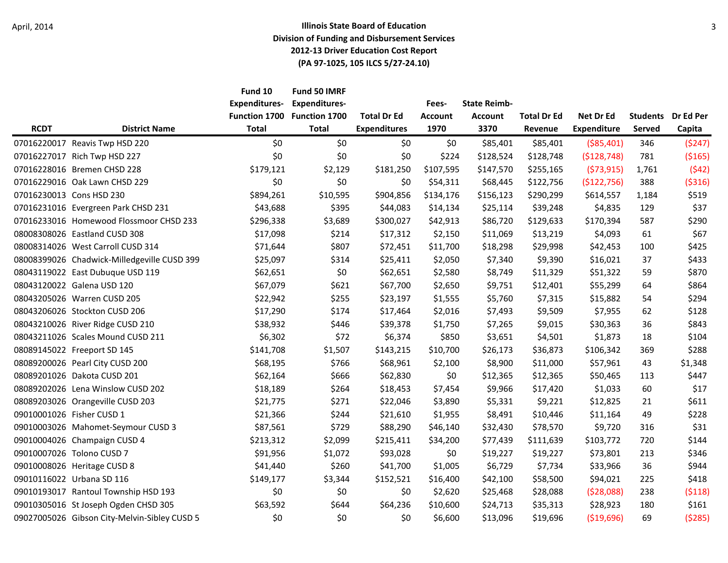|             |                                              | Fund 10              | Fund 50 IMRF         |                     |                |                     |                    |                    |                 |           |
|-------------|----------------------------------------------|----------------------|----------------------|---------------------|----------------|---------------------|--------------------|--------------------|-----------------|-----------|
|             |                                              | <b>Expenditures-</b> | <b>Expenditures-</b> |                     | Fees-          | <b>State Reimb-</b> |                    |                    |                 |           |
|             |                                              | <b>Function 1700</b> | <b>Function 1700</b> | <b>Total Dr Ed</b>  | <b>Account</b> | <b>Account</b>      | <b>Total Dr Ed</b> | Net Dr Ed          | <b>Students</b> | Dr Ed Per |
| <b>RCDT</b> | <b>District Name</b>                         | <b>Total</b>         | <b>Total</b>         | <b>Expenditures</b> | 1970           | 3370                | Revenue            | <b>Expenditure</b> | <b>Served</b>   | Capita    |
|             | 07016220017 Reavis Twp HSD 220               | \$0                  | \$0                  | \$0                 | \$0            | \$85,401            | \$85,401           | ( \$85,401)        | 346             | (5247)    |
|             | 07016227017 Rich Twp HSD 227                 | \$0                  | \$0                  | \$0                 | \$224          | \$128,524           | \$128,748          | (\$128,748)        | 781             | (5165)    |
|             | 07016228016 Bremen CHSD 228                  | \$179,121            | \$2,129              | \$181,250           | \$107,595      | \$147,570           | \$255,165          | (573, 915)         | 1,761           | (542)     |
|             | 07016229016 Oak Lawn CHSD 229                | \$0                  | \$0                  | \$0                 | \$54,311       | \$68,445            | \$122,756          | (\$122,756)        | 388             | ( \$316)  |
|             | 07016230013 Cons HSD 230                     | \$894,261            | \$10,595             | \$904,856           | \$134,176      | \$156,123           | \$290,299          | \$614,557          | 1,184           | \$519     |
|             | 07016231016 Evergreen Park CHSD 231          | \$43,688             | \$395                | \$44,083            | \$14,134       | \$25,114            | \$39,248           | \$4,835            | 129             | \$37      |
|             | 07016233016 Homewood Flossmoor CHSD 233      | \$296,338            | \$3,689              | \$300,027           | \$42,913       | \$86,720            | \$129,633          | \$170,394          | 587             | \$290     |
|             | 08008308026 Eastland CUSD 308                | \$17,098             | \$214                | \$17,312            | \$2,150        | \$11,069            | \$13,219           | \$4,093            | 61              | \$67      |
|             | 08008314026 West Carroll CUSD 314            | \$71,644             | \$807                | \$72,451            | \$11,700       | \$18,298            | \$29,998           | \$42,453           | 100             | \$425     |
|             | 08008399026 Chadwick-Milledgeville CUSD 399  | \$25,097             | \$314                | \$25,411            | \$2,050        | \$7,340             | \$9,390            | \$16,021           | 37              | \$433     |
|             | 08043119022 East Dubuque USD 119             | \$62,651             | \$0                  | \$62,651            | \$2,580        | \$8,749             | \$11,329           | \$51,322           | 59              | \$870     |
|             | 08043120022 Galena USD 120                   | \$67,079             | \$621                | \$67,700            | \$2,650        | \$9,751             | \$12,401           | \$55,299           | 64              | \$864     |
|             | 08043205026 Warren CUSD 205                  | \$22,942             | \$255                | \$23,197            | \$1,555        | \$5,760             | \$7,315            | \$15,882           | 54              | \$294     |
|             | 08043206026 Stockton CUSD 206                | \$17,290             | \$174                | \$17,464            | \$2,016        | \$7,493             | \$9,509            | \$7,955            | 62              | \$128     |
|             | 08043210026 River Ridge CUSD 210             | \$38,932             | \$446                | \$39,378            | \$1,750        | \$7,265             | \$9,015            | \$30,363           | 36              | \$843     |
|             | 08043211026 Scales Mound CUSD 211            | \$6,302              | \$72                 | \$6,374             | \$850          | \$3,651             | \$4,501            | \$1,873            | 18              | \$104     |
|             | 08089145022 Freeport SD 145                  | \$141,708            | \$1,507              | \$143,215           | \$10,700       | \$26,173            | \$36,873           | \$106,342          | 369             | \$288     |
|             | 08089200026 Pearl City CUSD 200              | \$68,195             | \$766                | \$68,961            | \$2,100        | \$8,900             | \$11,000           | \$57,961           | 43              | \$1,348   |
|             | 08089201026 Dakota CUSD 201                  | \$62,164             | \$666                | \$62,830            | \$0            | \$12,365            | \$12,365           | \$50,465           | 113             | \$447     |
|             | 08089202026 Lena Winslow CUSD 202            | \$18,189             | \$264                | \$18,453            | \$7,454        | \$9,966             | \$17,420           | \$1,033            | 60              | \$17      |
|             | 08089203026 Orangeville CUSD 203             | \$21,775             | \$271                | \$22,046            | \$3,890        | \$5,331             | \$9,221            | \$12,825           | 21              | \$611     |
|             | 09010001026 Fisher CUSD 1                    | \$21,366             | \$244                | \$21,610            | \$1,955        | \$8,491             | \$10,446           | \$11,164           | 49              | \$228     |
|             | 09010003026 Mahomet-Seymour CUSD 3           | \$87,561             | \$729                | \$88,290            | \$46,140       | \$32,430            | \$78,570           | \$9,720            | 316             | \$31      |
|             | 09010004026 Champaign CUSD 4                 | \$213,312            | \$2,099              | \$215,411           | \$34,200       | \$77,439            | \$111,639          | \$103,772          | 720             | \$144     |
|             | 09010007026 Tolono CUSD 7                    | \$91,956             | \$1,072              | \$93,028            | \$0            | \$19,227            | \$19,227           | \$73,801           | 213             | \$346     |
|             | 09010008026 Heritage CUSD 8                  | \$41,440             | \$260                | \$41,700            | \$1,005        | \$6,729             | \$7,734            | \$33,966           | 36              | \$944     |
|             | 09010116022 Urbana SD 116                    | \$149,177            | \$3,344              | \$152,521           | \$16,400       | \$42,100            | \$58,500           | \$94,021           | 225             | \$418     |
|             | 09010193017 Rantoul Township HSD 193         | \$0                  | \$0                  | \$0                 | \$2,620        | \$25,468            | \$28,088           | (528,088)          | 238             | (5118)    |
|             | 09010305016 St Joseph Ogden CHSD 305         | \$63,592             | \$644                | \$64,236            | \$10,600       | \$24,713            | \$35,313           | \$28,923           | 180             | \$161     |
|             | 09027005026 Gibson City-Melvin-Sibley CUSD 5 | \$0                  | \$0                  | \$0                 | \$6,600        | \$13,096            | \$19,696           | ( \$19,696)        | 69              | (5285)    |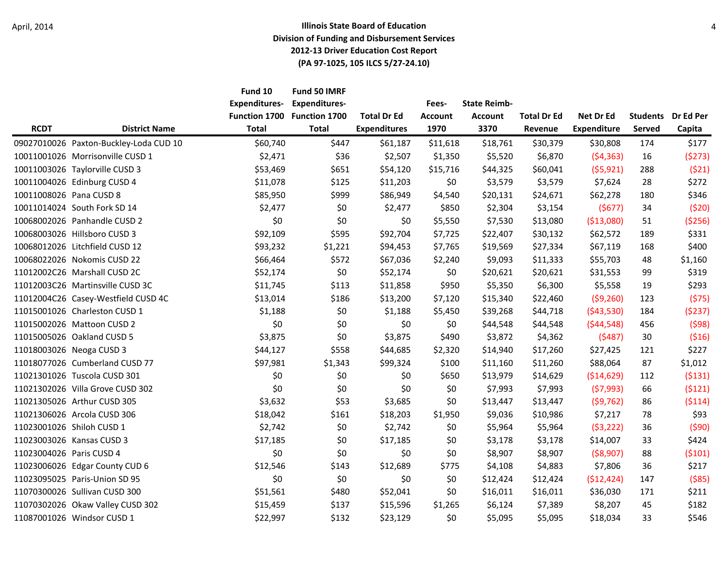|                          |                                        | Fund 10<br><b>Expenditures-</b><br><b>Function 1700</b> | Fund 50 IMRF<br><b>Expenditures-</b><br><b>Function 1700</b> | <b>Total Dr Ed</b>  | Fees-<br><b>Account</b> | <b>State Reimb-</b><br><b>Account</b> | <b>Total Dr Ed</b> | Net Dr Ed          | <b>Students</b> | Dr Ed Per |
|--------------------------|----------------------------------------|---------------------------------------------------------|--------------------------------------------------------------|---------------------|-------------------------|---------------------------------------|--------------------|--------------------|-----------------|-----------|
| <b>RCDT</b>              | <b>District Name</b>                   | <b>Total</b>                                            | <b>Total</b>                                                 | <b>Expenditures</b> | 1970                    | 3370                                  | Revenue            | <b>Expenditure</b> | Served          | Capita    |
|                          | 09027010026 Paxton-Buckley-Loda CUD 10 | \$60,740                                                | \$447                                                        | \$61,187            | \$11,618                | \$18,761                              | \$30,379           | \$30,808           | 174             | \$177     |
|                          | 10011001026 Morrisonville CUSD 1       | \$2,471                                                 | \$36                                                         | \$2,507             | \$1,350                 | \$5,520                               | \$6,870            | (54, 363)          | 16              | (5273)    |
|                          | 10011003026 Taylorville CUSD 3         | \$53,469                                                | \$651                                                        | \$54,120            | \$15,716                | \$44,325                              | \$60,041           | (55, 921)          | 288             | (521)     |
|                          | 10011004026 Edinburg CUSD 4            | \$11,078                                                | \$125                                                        | \$11,203            | \$0                     | \$3,579                               | \$3,579            | \$7,624            | 28              | \$272     |
| 10011008026 Pana CUSD 8  |                                        | \$85,950                                                | \$999                                                        | \$86,949            | \$4,540                 | \$20,131                              | \$24,671           | \$62,278           | 180             | \$346     |
|                          | 10011014024 South Fork SD 14           | \$2,477                                                 | \$0                                                          | \$2,477             | \$850                   | \$2,304                               | \$3,154            | (5677)             | 34              | (520)     |
|                          | 10068002026 Panhandle CUSD 2           | \$0                                                     | \$0                                                          | \$0                 | \$5,550                 | \$7,530                               | \$13,080           | ( \$13,080)        | 51              | ( \$256)  |
|                          | 10068003026 Hillsboro CUSD 3           | \$92,109                                                | \$595                                                        | \$92,704            | \$7,725                 | \$22,407                              | \$30,132           | \$62,572           | 189             | \$331     |
|                          | 10068012026 Litchfield CUSD 12         | \$93,232                                                | \$1,221                                                      | \$94,453            | \$7,765                 | \$19,569                              | \$27,334           | \$67,119           | 168             | \$400     |
|                          | 10068022026 Nokomis CUSD 22            | \$66,464                                                | \$572                                                        | \$67,036            | \$2,240                 | \$9,093                               | \$11,333           | \$55,703           | 48              | \$1,160   |
|                          | 11012002C26 Marshall CUSD 2C           | \$52,174                                                | \$0                                                          | \$52,174            | \$0                     | \$20,621                              | \$20,621           | \$31,553           | 99              | \$319     |
|                          | 11012003C26 Martinsville CUSD 3C       | \$11,745                                                | \$113                                                        | \$11,858            | \$950                   | \$5,350                               | \$6,300            | \$5,558            | 19              | \$293     |
|                          | 11012004C26 Casey-Westfield CUSD 4C    | \$13,014                                                | \$186                                                        | \$13,200            | \$7,120                 | \$15,340                              | \$22,460           | (59, 260)          | 123             | (575)     |
|                          | 11015001026 Charleston CUSD 1          | \$1,188                                                 | \$0                                                          | \$1,188             | \$5,450                 | \$39,268                              | \$44,718           | ( \$43,530)        | 184             | (5237)    |
|                          | 11015002026 Mattoon CUSD 2             | \$0                                                     | \$0                                                          | \$0                 | \$0                     | \$44,548                              | \$44,548           | (544, 548)         | 456             | (598)     |
|                          | 11015005026 Oakland CUSD 5             | \$3,875                                                 | \$0                                                          | \$3,875             | \$490                   | \$3,872                               | \$4,362            | (5487)             | 30              | (516)     |
|                          | 11018003026 Neoga CUSD 3               | \$44,127                                                | \$558                                                        | \$44,685            | \$2,320                 | \$14,940                              | \$17,260           | \$27,425           | 121             | \$227     |
|                          | 11018077026 Cumberland CUSD 77         | \$97,981                                                | \$1,343                                                      | \$99,324            | \$100                   | \$11,160                              | \$11,260           | \$88,064           | 87              | \$1,012   |
|                          | 11021301026 Tuscola CUSD 301           | \$0                                                     | \$0                                                          | \$0                 | \$650                   | \$13,979                              | \$14,629           | ( \$14,629)        | 112             | (5131)    |
|                          | 11021302026 Villa Grove CUSD 302       | \$0                                                     | \$0                                                          | \$0                 | \$0                     | \$7,993                               | \$7,993            | (57,993)           | 66              | (5121)    |
|                          | 11021305026 Arthur CUSD 305            | \$3,632                                                 | \$53                                                         | \$3,685             | \$0                     | \$13,447                              | \$13,447           | (59, 762)          | 86              | (5114)    |
|                          | 11021306026 Arcola CUSD 306            | \$18,042                                                | \$161                                                        | \$18,203            | \$1,950                 | \$9,036                               | \$10,986           | \$7,217            | 78              | \$93      |
|                          | 11023001026 Shiloh CUSD 1              | \$2,742                                                 | \$0                                                          | \$2,742             | \$0                     | \$5,964                               | \$5,964            | (53, 222)          | 36              | (590)     |
|                          | 11023003026 Kansas CUSD 3              | \$17,185                                                | \$0                                                          | \$17,185            | \$0                     | \$3,178                               | \$3,178            | \$14,007           | 33              | \$424     |
| 11023004026 Paris CUSD 4 |                                        | \$0                                                     | \$0                                                          | \$0                 | \$0                     | \$8,907                               | \$8,907            | ( \$8,907)         | 88              | (5101)    |
|                          | 11023006026 Edgar County CUD 6         | \$12,546                                                | \$143                                                        | \$12,689            | \$775                   | \$4,108                               | \$4,883            | \$7,806            | 36              | \$217     |
|                          | 11023095025 Paris-Union SD 95          | \$0                                                     | \$0                                                          | \$0                 | \$0                     | \$12,424                              | \$12,424           | (512, 424)         | 147             | ( \$85)   |
|                          | 11070300026 Sullivan CUSD 300          | \$51,561                                                | \$480                                                        | \$52,041            | \$0                     | \$16,011                              | \$16,011           | \$36,030           | 171             | \$211     |
|                          | 11070302026 Okaw Valley CUSD 302       | \$15,459                                                | \$137                                                        | \$15,596            | \$1,265                 | \$6,124                               | \$7,389            | \$8,207            | 45              | \$182     |
|                          | 11087001026 Windsor CUSD 1             | \$22,997                                                | \$132                                                        | \$23,129            | \$0                     | \$5,095                               | \$5,095            | \$18,034           | 33              | \$546     |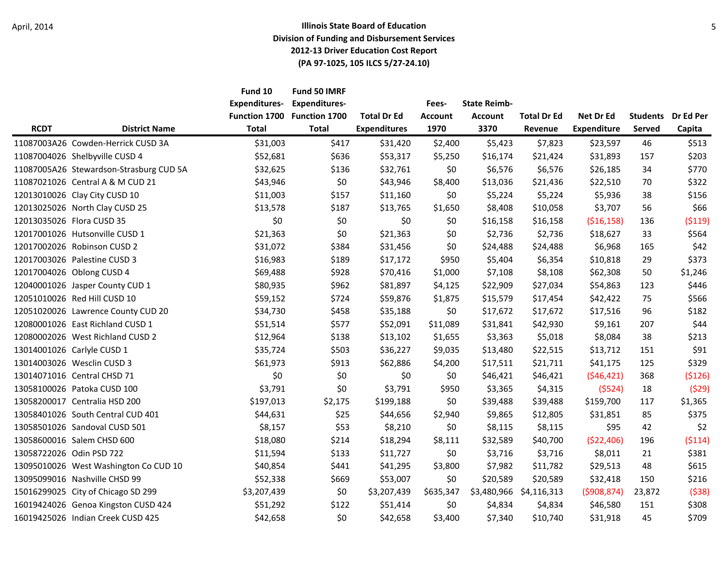|             |                                         | Fund 10<br><b>Expenditures-</b><br><b>Function 1700</b> | Fund 50 IMRF<br><b>Expenditures-</b><br><b>Function 1700</b> | <b>Total Dr Ed</b>  | Fees-<br><b>Account</b> | <b>State Reimb-</b><br><b>Account</b> | <b>Total Dr Ed</b>      | Net Dr Ed          | <b>Students</b> | Dr Ed Per |
|-------------|-----------------------------------------|---------------------------------------------------------|--------------------------------------------------------------|---------------------|-------------------------|---------------------------------------|-------------------------|--------------------|-----------------|-----------|
| <b>RCDT</b> | <b>District Name</b>                    | <b>Total</b>                                            | <b>Total</b>                                                 | <b>Expenditures</b> | 1970                    | 3370                                  | Revenue                 | <b>Expenditure</b> | Served          | Capita    |
|             | 11087003A26 Cowden-Herrick CUSD 3A      | \$31,003                                                | \$417                                                        | \$31,420            | \$2,400                 | \$5,423                               | \$7,823                 | \$23,597           | 46              | \$513     |
|             | 11087004026 Shelbyville CUSD 4          | \$52,681                                                | \$636                                                        | \$53,317            | \$5,250                 | \$16,174                              | \$21,424                | \$31,893           | 157             | \$203     |
|             | 11087005A26 Stewardson-Strasburg CUD 5A | \$32,625                                                | \$136                                                        | \$32,761            | \$0                     | \$6,576                               | \$6,576                 | \$26,185           | 34              | \$770     |
|             | 11087021026 Central A & M CUD 21        | \$43,946                                                | \$0                                                          | \$43,946            | \$8,400                 | \$13,036                              | \$21,436                | \$22,510           | 70              | \$322     |
|             | 12013010026 Clay City CUSD 10           | \$11,003                                                | \$157                                                        | \$11,160            | \$0                     | \$5,224                               | \$5,224                 | \$5,936            | 38              | \$156     |
|             | 12013025026 North Clay CUSD 25          | \$13,578                                                | \$187                                                        | \$13,765            | \$1,650                 | \$8,408                               | \$10,058                | \$3,707            | 56              | \$66      |
|             | 12013035026 Flora CUSD 35               | \$0                                                     | \$0                                                          | \$0                 | \$0                     | \$16,158                              | \$16,158                | ( \$16, 158)       | 136             | ( \$119)  |
|             | 12017001026 Hutsonville CUSD 1          | \$21,363                                                | \$0                                                          | \$21,363            | \$0                     | \$2,736                               | \$2,736                 | \$18,627           | 33              | \$564     |
|             | 12017002026 Robinson CUSD 2             | \$31,072                                                | \$384                                                        | \$31,456            | \$0                     | \$24,488                              | \$24,488                | \$6,968            | 165             | \$42      |
|             | 12017003026 Palestine CUSD 3            | \$16,983                                                | \$189                                                        | \$17,172            | \$950                   | \$5,404                               | \$6,354                 | \$10,818           | 29              | \$373     |
|             | 12017004026 Oblong CUSD 4               | \$69,488                                                | \$928                                                        | \$70,416            | \$1,000                 | \$7,108                               | \$8,108                 | \$62,308           | 50              | \$1,246   |
|             | 12040001026 Jasper County CUD 1         | \$80,935                                                | \$962                                                        | \$81,897            | \$4,125                 | \$22,909                              | \$27,034                | \$54,863           | 123             | \$446     |
|             | 12051010026 Red Hill CUSD 10            | \$59,152                                                | \$724                                                        | \$59,876            | \$1,875                 | \$15,579                              | \$17,454                | \$42,422           | 75              | \$566     |
|             | 12051020026 Lawrence County CUD 20      | \$34,730                                                | \$458                                                        | \$35,188            | \$0                     | \$17,672                              | \$17,672                | \$17,516           | 96              | \$182     |
|             | 12080001026 East Richland CUSD 1        | \$51,514                                                | \$577                                                        | \$52,091            | \$11,089                | \$31,841                              | \$42,930                | \$9,161            | 207             | \$44      |
|             | 12080002026 West Richland CUSD 2        | \$12,964                                                | \$138                                                        | \$13,102            | \$1,655                 | \$3,363                               | \$5,018                 | \$8,084            | 38              | \$213     |
|             | 13014001026 Carlyle CUSD 1              | \$35,724                                                | \$503                                                        | \$36,227            | \$9,035                 | \$13,480                              | \$22,515                | \$13,712           | 151             | \$91      |
|             | 13014003026 Wesclin CUSD 3              | \$61,973                                                | \$913                                                        | \$62,886            | \$4,200                 | \$17,511                              | \$21,711                | \$41,175           | 125             | \$329     |
|             | 13014071016 Central CHSD 71             | \$0                                                     | \$0                                                          | \$0                 | \$0                     | \$46,421                              | \$46,421                | (546, 421)         | 368             | (\$126)   |
|             | 13058100026 Patoka CUSD 100             | \$3,791                                                 | \$0                                                          | \$3,791             | \$950                   | \$3,365                               | \$4,315                 | (5524)             | 18              | (529)     |
|             | 13058200017 Centralia HSD 200           | \$197,013                                               | \$2,175                                                      | \$199,188           | \$0                     | \$39,488                              | \$39,488                | \$159,700          | 117             | \$1,365   |
|             | 13058401026 South Central CUD 401       | \$44,631                                                | \$25                                                         | \$44,656            | \$2,940                 | \$9,865                               | \$12,805                | \$31,851           | 85              | \$375     |
|             | 13058501026 Sandoval CUSD 501           | \$8,157                                                 | \$53                                                         | \$8,210             | \$0                     | \$8,115                               | \$8,115                 | \$95               | 42              | \$2       |
|             | 13058600016 Salem CHSD 600              | \$18,080                                                | \$214                                                        | \$18,294            | \$8,111                 | \$32,589                              | \$40,700                | (\$22,406)         | 196             | (5114)    |
|             | 13058722026 Odin PSD 722                | \$11,594                                                | \$133                                                        | \$11,727            | \$0                     | \$3,716                               | \$3,716                 | \$8,011            | 21              | \$381     |
|             | 13095010026 West Washington Co CUD 10   | \$40,854                                                | \$441                                                        | \$41,295            | \$3,800                 | \$7,982                               | \$11,782                | \$29,513           | 48              | \$615     |
|             | 13095099016 Nashville CHSD 99           | \$52,338                                                | \$669                                                        | \$53,007            | \$0                     | \$20,589                              | \$20,589                | \$32,418           | 150             | \$216     |
|             | 15016299025 City of Chicago SD 299      | \$3,207,439                                             | \$0                                                          | \$3,207,439         | \$635,347               |                                       | \$3,480,966 \$4,116,313 | (5908, 874)        | 23,872          | (538)     |
|             | 16019424026 Genoa Kingston CUSD 424     | \$51,292                                                | \$122                                                        | \$51,414            | \$0                     | \$4,834                               | \$4,834                 | \$46,580           | 151             | \$308     |
|             | 16019425026 Indian Creek CUSD 425       | \$42,658                                                | \$0                                                          | \$42,658            | \$3,400                 | \$7,340                               | \$10,740                | \$31,918           | 45              | \$709     |
|             |                                         |                                                         |                                                              |                     |                         |                                       |                         |                    |                 |           |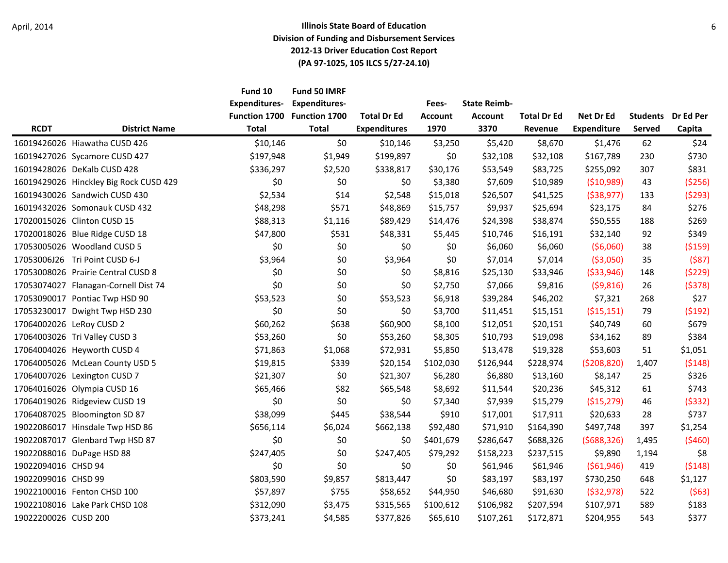|                      |                                        | Fund 10<br><b>Expenditures-</b><br><b>Function 1700</b> | Fund 50 IMRF<br><b>Expenditures-</b><br><b>Function 1700</b> | <b>Total Dr Ed</b>  | Fees-<br>Account | <b>State Reimb-</b><br><b>Account</b> | <b>Total Dr Ed</b> | Net Dr Ed          | <b>Students</b> | Dr Ed Per |
|----------------------|----------------------------------------|---------------------------------------------------------|--------------------------------------------------------------|---------------------|------------------|---------------------------------------|--------------------|--------------------|-----------------|-----------|
| <b>RCDT</b>          | <b>District Name</b>                   | <b>Total</b>                                            | <b>Total</b>                                                 | <b>Expenditures</b> | 1970             | 3370                                  | Revenue            | <b>Expenditure</b> | Served          | Capita    |
|                      | 16019426026 Hiawatha CUSD 426          | \$10,146                                                | \$0                                                          | \$10,146            | \$3,250          | \$5,420                               | \$8,670            | \$1,476            | 62              | \$24      |
|                      | 16019427026 Sycamore CUSD 427          | \$197,948                                               | \$1,949                                                      | \$199,897           | \$0\$            | \$32,108                              | \$32,108           | \$167,789          | 230             | \$730     |
|                      | 16019428026 DeKalb CUSD 428            | \$336,297                                               | \$2,520                                                      | \$338,817           | \$30,176         | \$53,549                              | \$83,725           | \$255,092          | 307             | \$831     |
|                      | 16019429026 Hinckley Big Rock CUSD 429 | \$0                                                     | \$0                                                          | \$0                 | \$3,380          | \$7,609                               | \$10,989           | ( \$10,989)        | 43              | ( \$256)  |
|                      | 16019430026 Sandwich CUSD 430          | \$2,534                                                 | \$14                                                         | \$2,548             | \$15,018         | \$26,507                              | \$41,525           | ( \$38, 977)       | 133             | (5293)    |
|                      | 16019432026 Somonauk CUSD 432          | \$48,298                                                | \$571                                                        | \$48,869            | \$15,757         | \$9,937                               | \$25,694           | \$23,175           | 84              | \$276     |
|                      | 17020015026 Clinton CUSD 15            | \$88,313                                                | \$1,116                                                      | \$89,429            | \$14,476         | \$24,398                              | \$38,874           | \$50,555           | 188             | \$269     |
|                      | 17020018026 Blue Ridge CUSD 18         | \$47,800                                                | \$531                                                        | \$48,331            | \$5,445          | \$10,746                              | \$16,191           | \$32,140           | 92              | \$349     |
|                      | 17053005026 Woodland CUSD 5            | \$0                                                     | \$0                                                          | \$0                 | \$0              | \$6,060                               | \$6,060            | (56,060)           | 38              | ( \$159)  |
|                      | 17053006J26 Tri Point CUSD 6-J         | \$3,964                                                 | \$0                                                          | \$3,964             | \$0              | \$7,014                               | \$7,014            | ( \$3,050)         | 35              | (587)     |
|                      | 17053008026 Prairie Central CUSD 8     | \$0                                                     | \$0                                                          | \$0                 | \$8,816          | \$25,130                              | \$33,946           | ( \$33, 946)       | 148             | (5229)    |
|                      | 17053074027 Flanagan-Cornell Dist 74   | \$0                                                     | \$0                                                          | \$0                 | \$2,750          | \$7,066                               | \$9,816            | (59, 816)          | 26              | (5378)    |
|                      | 17053090017 Pontiac Twp HSD 90         | \$53,523                                                | \$0                                                          | \$53,523            | \$6,918          | \$39,284                              | \$46,202           | \$7,321            | 268             | \$27      |
|                      | 17053230017 Dwight Twp HSD 230         | \$0                                                     | \$0                                                          | \$0                 | \$3,700          | \$11,451                              | \$15,151           | ( \$15, 151)       | 79              | (5192)    |
|                      | 17064002026 LeRoy CUSD 2               | \$60,262                                                | \$638                                                        | \$60,900            | \$8,100          | \$12,051                              | \$20,151           | \$40,749           | 60              | \$679     |
|                      | 17064003026 Tri Valley CUSD 3          | \$53,260                                                | \$0                                                          | \$53,260            | \$8,305          | \$10,793                              | \$19,098           | \$34,162           | 89              | \$384     |
|                      | 17064004026 Heyworth CUSD 4            | \$71,863                                                | \$1,068                                                      | \$72,931            | \$5,850          | \$13,478                              | \$19,328           | \$53,603           | 51              | \$1,051   |
|                      | 17064005026 McLean County USD 5        | \$19,815                                                | \$339                                                        | \$20,154            | \$102,030        | \$126,944                             | \$228,974          | (5208, 820)        | 1,407           | (5148)    |
|                      | 17064007026 Lexington CUSD 7           | \$21,307                                                | \$0                                                          | \$21,307            | \$6,280          | \$6,880                               | \$13,160           | \$8,147            | 25              | \$326     |
|                      | 17064016026 Olympia CUSD 16            | \$65,466                                                | \$82                                                         | \$65,548            | \$8,692          | \$11,544                              | \$20,236           | \$45,312           | 61              | \$743     |
|                      | 17064019026 Ridgeview CUSD 19          | \$0                                                     | \$0                                                          | \$0                 | \$7,340          | \$7,939                               | \$15,279           | ( \$15,279)        | 46              | (5332)    |
|                      | 17064087025 Bloomington SD 87          | \$38,099                                                | \$445                                                        | \$38,544            | \$910            | \$17,001                              | \$17,911           | \$20,633           | 28              | \$737     |
|                      | 19022086017 Hinsdale Twp HSD 86        | \$656,114                                               | \$6,024                                                      | \$662,138           | \$92,480         | \$71,910                              | \$164,390          | \$497,748          | 397             | \$1,254   |
|                      | 19022087017 Glenbard Twp HSD 87        | \$0                                                     | \$0                                                          | \$0                 | \$401,679        | \$286,647                             | \$688,326          | (5688, 326)        | 1,495           | (5460)    |
|                      | 19022088016 DuPage HSD 88              | \$247,405                                               | \$0                                                          | \$247,405           | \$79,292         | \$158,223                             | \$237,515          | \$9,890            | 1,194           | \$8       |
| 19022094016 CHSD 94  |                                        | \$0                                                     | \$0                                                          | \$0                 | \$0              | \$61,946                              | \$61,946           | ( \$61, 946)       | 419             | (5148)    |
| 19022099016 CHSD 99  |                                        | \$803,590                                               | \$9,857                                                      | \$813,447           | \$0              | \$83,197                              | \$83,197           | \$730,250          | 648             | \$1,127   |
|                      | 19022100016 Fenton CHSD 100            | \$57,897                                                | \$755                                                        | \$58,652            | \$44,950         | \$46,680                              | \$91,630           | ( \$32, 978)       | 522             | (563)     |
|                      | 19022108016 Lake Park CHSD 108         | \$312,090                                               | \$3,475                                                      | \$315,565           | \$100,612        | \$106,982                             | \$207,594          | \$107,971          | 589             | \$183     |
| 19022200026 CUSD 200 |                                        | \$373,241                                               | \$4,585                                                      | \$377,826           | \$65,610         | \$107,261                             | \$172,871          | \$204,955          | 543             | \$377     |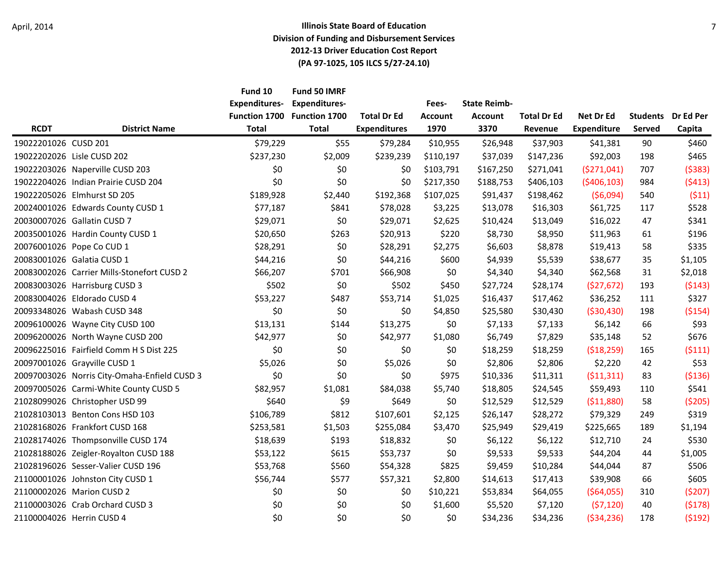|                      |                                              | Fund 10<br><b>Expenditures-</b> | Fund 50 IMRF<br><b>Expenditures-</b><br>Function 1700 Function 1700 | <b>Total Dr Ed</b>  | Fees-<br><b>Account</b> | <b>State Reimb-</b><br><b>Account</b> | <b>Total Dr Ed</b> | Net Dr Ed          | <b>Students</b> | Dr Ed Per |
|----------------------|----------------------------------------------|---------------------------------|---------------------------------------------------------------------|---------------------|-------------------------|---------------------------------------|--------------------|--------------------|-----------------|-----------|
| <b>RCDT</b>          | <b>District Name</b>                         | <b>Total</b>                    | <b>Total</b>                                                        | <b>Expenditures</b> | 1970                    | 3370                                  | Revenue            | <b>Expenditure</b> | Served          | Capita    |
| 19022201026 CUSD 201 |                                              | \$79,229                        | \$55                                                                | \$79,284            | \$10,955                | \$26,948                              | \$37,903           | \$41,381           | 90              | \$460     |
|                      | 19022202026 Lisle CUSD 202                   | \$237,230                       | \$2,009                                                             | \$239,239           | \$110,197               | \$37,039                              | \$147,236          | \$92,003           | 198             | \$465     |
|                      | 19022203026 Naperville CUSD 203              | \$0                             | \$0                                                                 | \$0                 | \$103,791               | \$167,250                             | \$271,041          | (5271,041)         | 707             | (5383)    |
|                      | 19022204026 Indian Prairie CUSD 204          | \$0                             | \$0                                                                 | \$0                 | \$217,350               | \$188,753                             | \$406,103          | (5406, 103)        | 984             | (5413)    |
|                      | 19022205026 Elmhurst SD 205                  | \$189,928                       | \$2,440                                                             | \$192,368           | \$107,025               | \$91,437                              | \$198,462          | (56,094)           | 540             | (511)     |
|                      | 20024001026 Edwards County CUSD 1            | \$77,187                        | \$841                                                               | \$78,028            | \$3,225                 | \$13,078                              | \$16,303           | \$61,725           | 117             | \$528     |
|                      | 20030007026 Gallatin CUSD 7                  | \$29,071                        | \$0                                                                 | \$29,071            | \$2,625                 | \$10,424                              | \$13,049           | \$16,022           | 47              | \$341     |
|                      | 20035001026 Hardin County CUSD 1             | \$20,650                        | \$263                                                               | \$20,913            | \$220                   | \$8,730                               | \$8,950            | \$11,963           | 61              | \$196     |
|                      | 20076001026 Pope Co CUD 1                    | \$28,291                        | \$0                                                                 | \$28,291            | \$2,275                 | \$6,603                               | \$8,878            | \$19,413           | 58              | \$335     |
|                      | 20083001026 Galatia CUSD 1                   | \$44,216                        | \$0                                                                 | \$44,216            | \$600                   | \$4,939                               | \$5,539            | \$38,677           | 35              | \$1,105   |
|                      | 20083002026 Carrier Mills-Stonefort CUSD 2   | \$66,207                        | \$701                                                               | \$66,908            | \$0                     | \$4,340                               | \$4,340            | \$62,568           | 31              | \$2,018   |
|                      | 20083003026 Harrisburg CUSD 3                | \$502                           | \$0                                                                 | \$502               | \$450                   | \$27,724                              | \$28,174           | (527, 672)         | 193             | (5143)    |
|                      | 20083004026 Eldorado CUSD 4                  | \$53,227                        | \$487                                                               | \$53,714            | \$1,025                 | \$16,437                              | \$17,462           | \$36,252           | 111             | \$327     |
|                      | 20093348026 Wabash CUSD 348                  | \$0                             | \$0                                                                 | \$0                 | \$4,850                 | \$25,580                              | \$30,430           | ( \$30,430)        | 198             | ( \$154)  |
|                      | 20096100026 Wayne City CUSD 100              | \$13,131                        | \$144                                                               | \$13,275            | \$0                     | \$7,133                               | \$7,133            | \$6,142            | 66              | \$93      |
|                      | 20096200026 North Wayne CUSD 200             | \$42,977                        | \$0                                                                 | \$42,977            | \$1,080                 | \$6,749                               | \$7,829            | \$35,148           | 52              | \$676     |
|                      | 20096225016 Fairfield Comm H S Dist 225      | \$0                             | \$0                                                                 | \$0                 | \$0                     | \$18,259                              | \$18,259           | (518, 259)         | 165             | (5111)    |
|                      | 20097001026 Grayville CUSD 1                 | \$5,026                         | \$0                                                                 | \$5,026             | \$0                     | \$2,806                               | \$2,806            | \$2,220            | 42              | \$53      |
|                      | 20097003026 Norris City-Omaha-Enfield CUSD 3 | \$0                             | \$0                                                                 | \$0                 | \$975                   | \$10,336                              | \$11,311           | (511, 311)         | 83              | ( \$136)  |
|                      | 20097005026 Carmi-White County CUSD 5        | \$82,957                        | \$1,081                                                             | \$84,038            | \$5,740                 | \$18,805                              | \$24,545           | \$59,493           | 110             | \$541     |
|                      | 21028099026 Christopher USD 99               | \$640                           | \$9                                                                 | \$649               | \$0                     | \$12,529                              | \$12,529           | (511,880)          | 58              | ( \$205)  |
|                      | 21028103013 Benton Cons HSD 103              | \$106,789                       | \$812                                                               | \$107,601           | \$2,125                 | \$26,147                              | \$28,272           | \$79,329           | 249             | \$319     |
|                      | 21028168026 Frankfort CUSD 168               | \$253,581                       | \$1,503                                                             | \$255,084           | \$3,470                 | \$25,949                              | \$29,419           | \$225,665          | 189             | \$1,194   |
|                      | 21028174026 Thompsonville CUSD 174           | \$18,639                        | \$193                                                               | \$18,832            | \$0                     | \$6,122                               | \$6,122            | \$12,710           | 24              | \$530     |
|                      | 21028188026 Zeigler-Royalton CUSD 188        | \$53,122                        | \$615                                                               | \$53,737            | \$0                     | \$9,533                               | \$9,533            | \$44,204           | 44              | \$1,005   |
|                      | 21028196026 Sesser-Valier CUSD 196           | \$53,768                        | \$560                                                               | \$54,328            | \$825                   | \$9,459                               | \$10,284           | \$44,044           | 87              | \$506     |
|                      | 21100001026 Johnston City CUSD 1             | \$56,744                        | \$577                                                               | \$57,321            | \$2,800                 | \$14,613                              | \$17,413           | \$39,908           | 66              | \$605     |
|                      | 21100002026 Marion CUSD 2                    | \$0                             | \$0                                                                 | \$0                 | \$10,221                | \$53,834                              | \$64,055           | (564, 055)         | 310             | (5207)    |
|                      | 21100003026 Crab Orchard CUSD 3              | \$0                             | \$0                                                                 | \$0                 | \$1,600                 | \$5,520                               | \$7,120            | (57, 120)          | 40              | (5178)    |
|                      | 21100004026 Herrin CUSD 4                    | \$0                             | \$0                                                                 | \$0                 | \$0                     | \$34,236                              | \$34,236           | ( \$34, 236)       | 178             | (5192)    |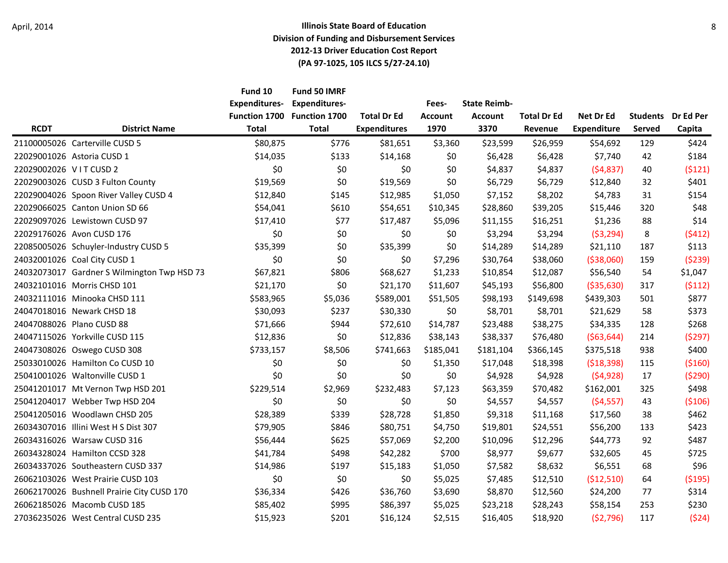|                       |                                             | Fund 10<br><b>Expenditures-</b><br><b>Function 1700</b> | Fund 50 IMRF<br><b>Expenditures-</b><br><b>Function 1700</b> | <b>Total Dr Ed</b>  | Fees-<br><b>Account</b> | <b>State Reimb-</b><br><b>Account</b> | <b>Total Dr Ed</b> | Net Dr Ed          | <b>Students</b> | Dr Ed Per |
|-----------------------|---------------------------------------------|---------------------------------------------------------|--------------------------------------------------------------|---------------------|-------------------------|---------------------------------------|--------------------|--------------------|-----------------|-----------|
| <b>RCDT</b>           | <b>District Name</b>                        | <b>Total</b>                                            | <b>Total</b>                                                 | <b>Expenditures</b> | 1970                    | 3370                                  | Revenue            | <b>Expenditure</b> | Served          | Capita    |
|                       | 21100005026 Carterville CUSD 5              | \$80,875                                                | \$776                                                        | \$81,651            | \$3,360                 | \$23,599                              | \$26,959           | \$54,692           | 129             | \$424     |
|                       | 22029001026 Astoria CUSD 1                  | \$14,035                                                | \$133                                                        | \$14,168            | \$0\$                   | \$6,428                               | \$6,428            | \$7,740            | 42              | \$184     |
| 22029002026 VITCUSD 2 |                                             | \$0                                                     | \$0                                                          | \$0                 | \$0                     | \$4,837                               | \$4,837            | (54, 837)          | 40              | (5121)    |
|                       | 22029003026 CUSD 3 Fulton County            | \$19,569                                                | \$0                                                          | \$19,569            | \$0                     | \$6,729                               | \$6,729            | \$12,840           | 32              | \$401     |
|                       | 22029004026 Spoon River Valley CUSD 4       | \$12,840                                                | \$145                                                        | \$12,985            | \$1,050                 | \$7,152                               | \$8,202            | \$4,783            | 31              | \$154     |
|                       | 22029066025 Canton Union SD 66              | \$54,041                                                | \$610                                                        | \$54,651            | \$10,345                | \$28,860                              | \$39,205           | \$15,446           | 320             | \$48      |
|                       | 22029097026 Lewistown CUSD 97               | \$17,410                                                | \$77                                                         | \$17,487            | \$5,096                 | \$11,155                              | \$16,251           | \$1,236            | 88              | \$14      |
|                       | 22029176026 Avon CUSD 176                   | \$0                                                     | \$0                                                          | \$0                 | \$0                     | \$3,294                               | \$3,294            | (53, 294)          | 8               | (5412)    |
|                       | 22085005026 Schuyler-Industry CUSD 5        | \$35,399                                                | \$0                                                          | \$35,399            | \$0                     | \$14,289                              | \$14,289           | \$21,110           | 187             | \$113     |
|                       | 24032001026 Coal City CUSD 1                | \$0                                                     | \$0                                                          | \$0                 | \$7,296                 | \$30,764                              | \$38,060           | ( \$38,060)        | 159             | (5239)    |
|                       | 24032073017 Gardner S Wilmington Twp HSD 73 | \$67,821                                                | \$806                                                        | \$68,627            | \$1,233                 | \$10,854                              | \$12,087           | \$56,540           | 54              | \$1,047   |
|                       | 24032101016 Morris CHSD 101                 | \$21,170                                                | \$0                                                          | \$21,170            | \$11,607                | \$45,193                              | \$56,800           | ( \$35,630)        | 317             | (5112)    |
|                       | 24032111016 Minooka CHSD 111                | \$583,965                                               | \$5,036                                                      | \$589,001           | \$51,505                | \$98,193                              | \$149,698          | \$439,303          | 501             | \$877     |
|                       | 24047018016 Newark CHSD 18                  | \$30,093                                                | \$237                                                        | \$30,330            | \$0                     | \$8,701                               | \$8,701            | \$21,629           | 58              | \$373     |
|                       | 24047088026 Plano CUSD 88                   | \$71,666                                                | \$944                                                        | \$72,610            | \$14,787                | \$23,488                              | \$38,275           | \$34,335           | 128             | \$268     |
|                       | 24047115026 Yorkville CUSD 115              | \$12,836                                                | \$0                                                          | \$12,836            | \$38,143                | \$38,337                              | \$76,480           | ( \$63, 644)       | 214             | (5297)    |
|                       | 24047308026 Oswego CUSD 308                 | \$733,157                                               | \$8,506                                                      | \$741,663           | \$185,041               | \$181,104                             | \$366,145          | \$375,518          | 938             | \$400     |
|                       | 25033010026 Hamilton Co CUSD 10             | \$0                                                     | \$0                                                          | \$0                 | \$1,350                 | \$17,048                              | \$18,398           | (518, 398)         | 115             | ( \$160)  |
|                       | 25041001026 Waltonville CUSD 1              | \$0                                                     | \$0                                                          | \$0                 | \$0\$                   | \$4,928                               | \$4,928            | (54, 928)          | 17              | (5290)    |
|                       | 25041201017 Mt Vernon Twp HSD 201           | \$229,514                                               | \$2,969                                                      | \$232,483           | \$7,123                 | \$63,359                              | \$70,482           | \$162,001          | 325             | \$498     |
|                       | 25041204017 Webber Twp HSD 204              | \$0                                                     | \$0                                                          | \$0                 | \$0                     | \$4,557                               | \$4,557            | (54, 557)          | 43              | ( \$106)  |
|                       | 25041205016 Woodlawn CHSD 205               | \$28,389                                                | \$339                                                        | \$28,728            | \$1,850                 | \$9,318                               | \$11,168           | \$17,560           | 38              | \$462     |
|                       | 26034307016 Illini West H S Dist 307        | \$79,905                                                | \$846                                                        | \$80,751            | \$4,750                 | \$19,801                              | \$24,551           | \$56,200           | 133             | \$423     |
|                       | 26034316026 Warsaw CUSD 316                 | \$56,444                                                | \$625                                                        | \$57,069            | \$2,200                 | \$10,096                              | \$12,296           | \$44,773           | 92              | \$487     |
|                       | 26034328024 Hamilton CCSD 328               | \$41,784                                                | \$498                                                        | \$42,282            | \$700                   | \$8,977                               | \$9,677            | \$32,605           | 45              | \$725     |
|                       | 26034337026 Southeastern CUSD 337           | \$14,986                                                | \$197                                                        | \$15,183            | \$1,050                 | \$7,582                               | \$8,632            | \$6,551            | 68              | \$96      |
|                       | 26062103026 West Prairie CUSD 103           | \$0                                                     | \$0                                                          | \$0                 | \$5,025                 | \$7,485                               | \$12,510           | (\$12,510)         | 64              | (5195)    |
|                       | 26062170026 Bushnell Prairie City CUSD 170  | \$36,334                                                | \$426                                                        | \$36,760            | \$3,690                 | \$8,870                               | \$12,560           | \$24,200           | 77              | \$314     |
|                       | 26062185026 Macomb CUSD 185                 | \$85,402                                                | \$995                                                        | \$86,397            | \$5,025                 | \$23,218                              | \$28,243           | \$58,154           | 253             | \$230     |
|                       | 27036235026 West Central CUSD 235           | \$15,923                                                | \$201                                                        | \$16,124            | \$2,515                 | \$16,405                              | \$18,920           | (52, 796)          | 117             | (524)     |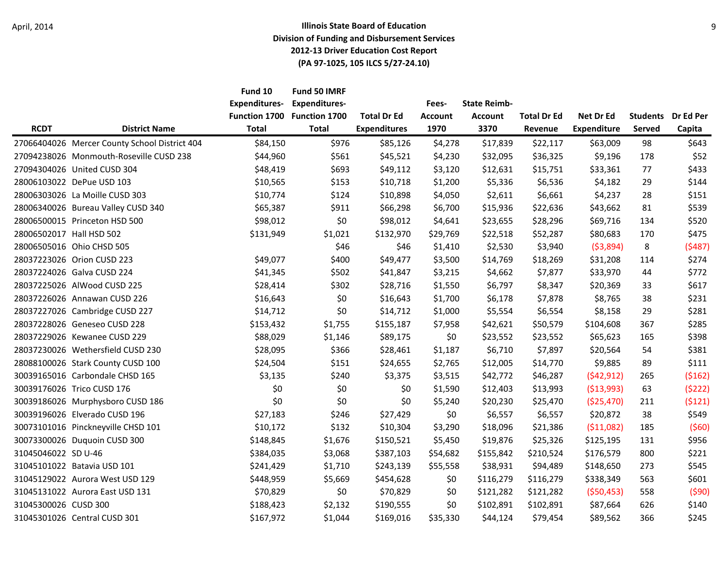|                          |                                               | Fund 10<br><b>Expenditures-</b><br><b>Function 1700</b> | Fund 50 IMRF<br><b>Expenditures-</b><br><b>Function 1700</b> | <b>Total Dr Ed</b>  | Fees-<br><b>Account</b> | <b>State Reimb-</b><br><b>Account</b> | <b>Total Dr Ed</b> | Net Dr Ed          | <b>Students</b> | Dr Ed Per |
|--------------------------|-----------------------------------------------|---------------------------------------------------------|--------------------------------------------------------------|---------------------|-------------------------|---------------------------------------|--------------------|--------------------|-----------------|-----------|
| <b>RCDT</b>              | <b>District Name</b>                          | <b>Total</b>                                            | <b>Total</b>                                                 | <b>Expenditures</b> | 1970                    | 3370                                  | Revenue            | <b>Expenditure</b> | Served          | Capita    |
|                          | 27066404026 Mercer County School District 404 | \$84,150                                                | \$976                                                        | \$85,126            | \$4,278                 | \$17,839                              | \$22,117           | \$63,009           | 98              | \$643     |
|                          | 27094238026 Monmouth-Roseville CUSD 238       | \$44,960                                                | \$561                                                        | \$45,521            | \$4,230                 | \$32,095                              | \$36,325           | \$9,196            | 178             | \$52      |
|                          | 27094304026 United CUSD 304                   | \$48,419                                                | \$693                                                        | \$49,112            | \$3,120                 | \$12,631                              | \$15,751           | \$33,361           | 77              | \$433     |
|                          | 28006103022 DePue USD 103                     | \$10,565                                                | \$153                                                        | \$10,718            | \$1,200                 | \$5,336                               | \$6,536            | \$4,182            | 29              | \$144     |
|                          | 28006303026 La Moille CUSD 303                | \$10,774                                                | \$124                                                        | \$10,898            | \$4,050                 | \$2,611                               | \$6,661            | \$4,237            | 28              | \$151     |
|                          | 28006340026 Bureau Valley CUSD 340            | \$65,387                                                | \$911                                                        | \$66,298            | \$6,700                 | \$15,936                              | \$22,636           | \$43,662           | 81              | \$539     |
|                          | 28006500015 Princeton HSD 500                 | \$98,012                                                | \$0                                                          | \$98,012            | \$4,641                 | \$23,655                              | \$28,296           | \$69,716           | 134             | \$520     |
| 28006502017 Hall HSD 502 |                                               | \$131,949                                               | \$1,021                                                      | \$132,970           | \$29,769                | \$22,518                              | \$52,287           | \$80,683           | 170             | \$475     |
|                          | 28006505016 Ohio CHSD 505                     |                                                         | \$46                                                         | \$46                | \$1,410                 | \$2,530                               | \$3,940            | (53,894)           | 8               | (5487)    |
|                          | 28037223026 Orion CUSD 223                    | \$49,077                                                | \$400                                                        | \$49,477            | \$3,500                 | \$14,769                              | \$18,269           | \$31,208           | 114             | \$274     |
|                          | 28037224026 Galva CUSD 224                    | \$41,345                                                | \$502                                                        | \$41,847            | \$3,215                 | \$4,662                               | \$7,877            | \$33,970           | 44              | \$772     |
|                          | 28037225026 AlWood CUSD 225                   | \$28,414                                                | \$302                                                        | \$28,716            | \$1,550                 | \$6,797                               | \$8,347            | \$20,369           | 33              | \$617     |
|                          | 28037226026 Annawan CUSD 226                  | \$16,643                                                | \$0                                                          | \$16,643            | \$1,700                 | \$6,178                               | \$7,878            | \$8,765            | 38              | \$231     |
|                          | 28037227026 Cambridge CUSD 227                | \$14,712                                                | \$0                                                          | \$14,712            | \$1,000                 | \$5,554                               | \$6,554            | \$8,158            | 29              | \$281     |
|                          | 28037228026 Geneseo CUSD 228                  | \$153,432                                               | \$1,755                                                      | \$155,187           | \$7,958                 | \$42,621                              | \$50,579           | \$104,608          | 367             | \$285     |
|                          | 28037229026 Kewanee CUSD 229                  | \$88,029                                                | \$1,146                                                      | \$89,175            | \$0                     | \$23,552                              | \$23,552           | \$65,623           | 165             | \$398     |
|                          | 28037230026 Wethersfield CUSD 230             | \$28,095                                                | \$366                                                        | \$28,461            | \$1,187                 | \$6,710                               | \$7,897            | \$20,564           | 54              | \$381     |
|                          | 28088100026 Stark County CUSD 100             | \$24,504                                                | \$151                                                        | \$24,655            | \$2,765                 | \$12,005                              | \$14,770           | \$9,885            | 89              | \$111     |
|                          | 30039165016 Carbondale CHSD 165               | \$3,135                                                 | \$240                                                        | \$3,375             | \$3,515                 | \$42,772                              | \$46,287           | (542, 912)         | 265             | (5162)    |
|                          | 30039176026 Trico CUSD 176                    | \$0                                                     | \$0                                                          | \$0                 | \$1,590                 | \$12,403                              | \$13,993           | (513,993)          | 63              | (5222)    |
|                          | 30039186026 Murphysboro CUSD 186              | \$0                                                     | \$0                                                          | \$0                 | \$5,240                 | \$20,230                              | \$25,470           | (\$25,470)         | 211             | (5121)    |
|                          | 30039196026 Elverado CUSD 196                 | \$27,183                                                | \$246                                                        | \$27,429            | \$0                     | \$6,557                               | \$6,557            | \$20,872           | 38              | \$549     |
|                          | 30073101016 Pinckneyville CHSD 101            | \$10,172                                                | \$132                                                        | \$10,304            | \$3,290                 | \$18,096                              | \$21,386           | (511,082)          | 185             | (560)     |
|                          | 30073300026 Duquoin CUSD 300                  | \$148,845                                               | \$1,676                                                      | \$150,521           | \$5,450                 | \$19,876                              | \$25,326           | \$125,195          | 131             | \$956     |
| 31045046022 SD U-46      |                                               | \$384,035                                               | \$3,068                                                      | \$387,103           | \$54,682                | \$155,842                             | \$210,524          | \$176,579          | 800             | \$221     |
|                          | 31045101022 Batavia USD 101                   | \$241,429                                               | \$1,710                                                      | \$243,139           | \$55,558                | \$38,931                              | \$94,489           | \$148,650          | 273             | \$545     |
|                          | 31045129022 Aurora West USD 129               | \$448,959                                               | \$5,669                                                      | \$454,628           | \$0                     | \$116,279                             | \$116,279          | \$338,349          | 563             | \$601     |
|                          | 31045131022 Aurora East USD 131               | \$70,829                                                | \$0                                                          | \$70,829            | \$0                     | \$121,282                             | \$121,282          | (550, 453)         | 558             | (590)     |
| 31045300026 CUSD 300     |                                               | \$188,423                                               | \$2,132                                                      | \$190,555           | \$0                     | \$102,891                             | \$102,891          | \$87,664           | 626             | \$140     |
|                          | 31045301026 Central CUSD 301                  | \$167,972                                               | \$1,044                                                      | \$169,016           | \$35,330                | \$44,124                              | \$79,454           | \$89,562           | 366             | \$245     |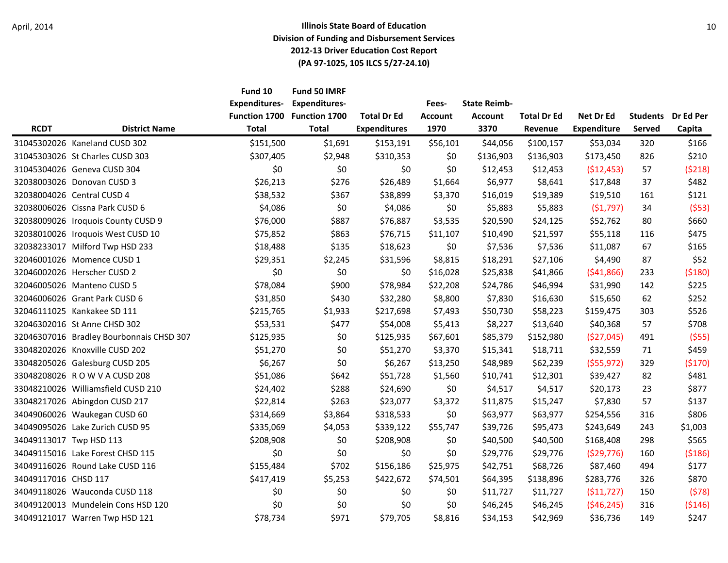|                         |                                          | Fund 10<br><b>Expenditures-</b>      | Fund 50 IMRF<br><b>Expenditures-</b> | <b>Total Dr Ed</b>  | Fees-                  | <b>State Reimb-</b>    | <b>Total Dr Ed</b> |                                 | <b>Students</b> | Dr Ed Per |
|-------------------------|------------------------------------------|--------------------------------------|--------------------------------------|---------------------|------------------------|------------------------|--------------------|---------------------------------|-----------------|-----------|
| <b>RCDT</b>             | <b>District Name</b>                     | <b>Function 1700</b><br><b>Total</b> | <b>Function 1700</b><br><b>Total</b> | <b>Expenditures</b> | <b>Account</b><br>1970 | <b>Account</b><br>3370 | Revenue            | Net Dr Ed<br><b>Expenditure</b> | Served          | Capita    |
|                         | 31045302026 Kaneland CUSD 302            | \$151,500                            | \$1,691                              | \$153,191           | \$56,101               | \$44,056               | \$100,157          | \$53,034                        | 320             | \$166     |
|                         | 31045303026 St Charles CUSD 303          | \$307,405                            | \$2,948                              | \$310,353           | \$0                    | \$136,903              | \$136,903          | \$173,450                       | 826             | \$210     |
|                         | 31045304026 Geneva CUSD 304              | \$0                                  | \$0                                  | \$0                 | \$0                    | \$12,453               | \$12,453           | ( \$12,453)                     | 57              | (5218)    |
|                         | 32038003026 Donovan CUSD 3               | \$26,213                             | \$276                                | \$26,489            | \$1,664                | \$6,977                | \$8,641            | \$17,848                        | 37              | \$482     |
|                         | 32038004026 Central CUSD 4               | \$38,532                             | \$367                                | \$38,899            | \$3,370                | \$16,019               | \$19,389           | \$19,510                        | 161             | \$121     |
|                         | 32038006026 Cissna Park CUSD 6           | \$4,086                              | \$0                                  | \$4,086             | \$0                    | \$5,883                | \$5,883            | (51, 797)                       | 34              | (553)     |
|                         | 32038009026 Iroquois County CUSD 9       | \$76,000                             | \$887                                | \$76,887            | \$3,535                | \$20,590               | \$24,125           | \$52,762                        | 80              | \$660     |
|                         | 32038010026 Iroquois West CUSD 10        | \$75,852                             | \$863                                | \$76,715            | \$11,107               | \$10,490               | \$21,597           | \$55,118                        | 116             | \$475     |
|                         | 32038233017 Milford Twp HSD 233          | \$18,488                             | \$135                                | \$18,623            | \$0                    | \$7,536                | \$7,536            | \$11,087                        | 67              | \$165     |
|                         | 32046001026 Momence CUSD 1               | \$29,351                             | \$2,245                              | \$31,596            | \$8,815                | \$18,291               | \$27,106           | \$4,490                         | 87              | \$52      |
|                         | 32046002026 Herscher CUSD 2              | \$0                                  | \$0                                  | \$0                 | \$16,028               | \$25,838               | \$41,866           | (541,866)                       | 233             | ( \$180)  |
|                         | 32046005026 Manteno CUSD 5               | \$78,084                             | \$900                                | \$78,984            | \$22,208               | \$24,786               | \$46,994           | \$31,990                        | 142             | \$225     |
|                         | 32046006026 Grant Park CUSD 6            | \$31,850                             | \$430                                | \$32,280            | \$8,800                | \$7,830                | \$16,630           | \$15,650                        | 62              | \$252     |
|                         | 32046111025 Kankakee SD 111              | \$215,765                            | \$1,933                              | \$217,698           | \$7,493                | \$50,730               | \$58,223           | \$159,475                       | 303             | \$526     |
|                         | 32046302016 St Anne CHSD 302             | \$53,531                             | \$477                                | \$54,008            | \$5,413                | \$8,227                | \$13,640           | \$40,368                        | 57              | \$708     |
|                         | 32046307016 Bradley Bourbonnais CHSD 307 | \$125,935                            | \$0                                  | \$125,935           | \$67,601               | \$85,379               | \$152,980          | (\$27,045)                      | 491             | (555)     |
|                         | 33048202026 Knoxville CUSD 202           | \$51,270                             | \$0                                  | \$51,270            | \$3,370                | \$15,341               | \$18,711           | \$32,559                        | 71              | \$459     |
|                         | 33048205026 Galesburg CUSD 205           | \$6,267                              | \$0                                  | \$6,267             | \$13,250               | \$48,989               | \$62,239           | (555, 972)                      | 329             | (\$170)   |
|                         | 33048208026 ROWVACUSD 208                | \$51,086                             | \$642                                | \$51,728            | \$1,560                | \$10,741               | \$12,301           | \$39,427                        | 82              | \$481     |
|                         | 33048210026 Williamsfield CUSD 210       | \$24,402                             | \$288                                | \$24,690            | \$0                    | \$4,517                | \$4,517            | \$20,173                        | 23              | \$877     |
|                         | 33048217026 Abingdon CUSD 217            | \$22,814                             | \$263                                | \$23,077            | \$3,372                | \$11,875               | \$15,247           | \$7,830                         | 57              | \$137     |
|                         | 34049060026 Waukegan CUSD 60             | \$314,669                            | \$3,864                              | \$318,533           | \$0                    | \$63,977               | \$63,977           | \$254,556                       | 316             | \$806     |
|                         | 34049095026 Lake Zurich CUSD 95          | \$335,069                            | \$4,053                              | \$339,122           | \$55,747               | \$39,726               | \$95,473           | \$243,649                       | 243             | \$1,003   |
| 34049113017 Twp HSD 113 |                                          | \$208,908                            | \$0                                  | \$208,908           | \$0                    | \$40,500               | \$40,500           | \$168,408                       | 298             | \$565     |
|                         | 34049115016 Lake Forest CHSD 115         | \$0                                  | \$0                                  | \$0                 | \$0                    | \$29,776               | \$29,776           | (529, 776)                      | 160             | (5186)    |
|                         | 34049116026 Round Lake CUSD 116          | \$155,484                            | \$702                                | \$156,186           | \$25,975               | \$42,751               | \$68,726           | \$87,460                        | 494             | \$177     |
| 34049117016 CHSD 117    |                                          | \$417,419                            | \$5,253                              | \$422,672           | \$74,501               | \$64,395               | \$138,896          | \$283,776                       | 326             | \$870     |
|                         | 34049118026 Wauconda CUSD 118            | \$0                                  | \$0                                  | \$0                 | \$0                    | \$11,727               | \$11,727           | (511, 727)                      | 150             | (578)     |
|                         | 34049120013 Mundelein Cons HSD 120       | \$0                                  | \$0                                  | \$0                 | \$0                    | \$46,245               | \$46,245           | (546, 245)                      | 316             | ( \$146)  |
|                         | 34049121017 Warren Twp HSD 121           | \$78,734                             | \$971                                | \$79,705            | \$8,816                | \$34,153               | \$42,969           | \$36,736                        | 149             | \$247     |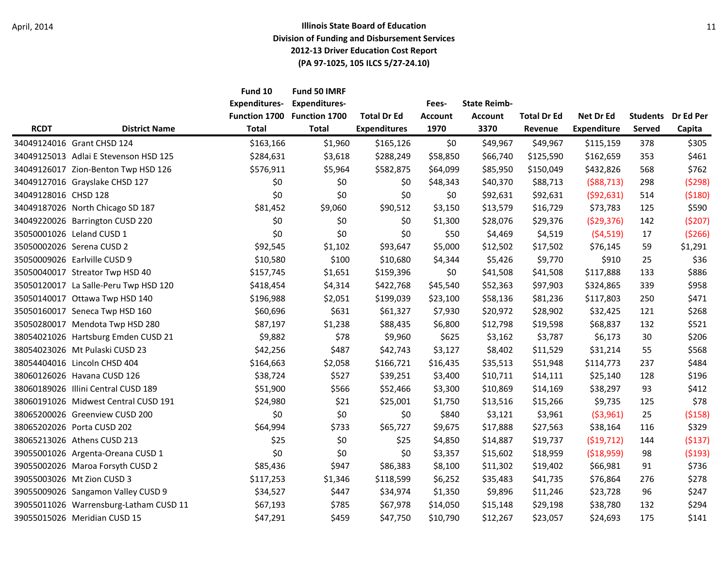|                      |                                        | Fund 10<br><b>Expenditures-</b><br><b>Function 1700</b> | Fund 50 IMRF<br><b>Expenditures-</b><br><b>Function 1700</b> | <b>Total Dr Ed</b>  | Fees-<br><b>Account</b> | <b>State Reimb-</b><br><b>Account</b> | <b>Total Dr Ed</b> | Net Dr Ed          | <b>Students</b> | Dr Ed Per |
|----------------------|----------------------------------------|---------------------------------------------------------|--------------------------------------------------------------|---------------------|-------------------------|---------------------------------------|--------------------|--------------------|-----------------|-----------|
| <b>RCDT</b>          | <b>District Name</b>                   | <b>Total</b>                                            | <b>Total</b>                                                 | <b>Expenditures</b> | 1970                    | 3370                                  | Revenue            | <b>Expenditure</b> | Served          | Capita    |
|                      | 34049124016 Grant CHSD 124             | \$163,166                                               | \$1,960                                                      | \$165,126           | \$0                     | \$49,967                              | \$49,967           | \$115,159          | 378             | \$305     |
|                      | 34049125013 Adlai E Stevenson HSD 125  | \$284,631                                               | \$3,618                                                      | \$288,249           | \$58,850                | \$66,740                              | \$125,590          | \$162,659          | 353             | \$461     |
|                      | 34049126017 Zion-Benton Twp HSD 126    | \$576,911                                               | \$5,964                                                      | \$582,875           | \$64,099                | \$85,950                              | \$150,049          | \$432,826          | 568             | \$762     |
|                      | 34049127016 Grayslake CHSD 127         | \$0                                                     | \$0                                                          | \$0                 | \$48,343                | \$40,370                              | \$88,713           | (588, 713)         | 298             | (5298)    |
| 34049128016 CHSD 128 |                                        | \$0                                                     | \$0                                                          | \$0                 | \$0                     | \$92,631                              | \$92,631           | (592, 631)         | 514             | (5180)    |
|                      | 34049187026 North Chicago SD 187       | \$81,452                                                | \$9,060                                                      | \$90,512            | \$3,150                 | \$13,579                              | \$16,729           | \$73,783           | 125             | \$590     |
|                      | 34049220026 Barrington CUSD 220        | \$0                                                     | \$0                                                          | \$0                 | \$1,300                 | \$28,076                              | \$29,376           | (529, 376)         | 142             | (5207)    |
|                      | 35050001026 Leland CUSD 1              | \$0                                                     | \$0                                                          | \$0                 | \$50                    | \$4,469                               | \$4,519            | (54, 519)          | 17              | (5266)    |
|                      | 35050002026 Serena CUSD 2              | \$92,545                                                | \$1,102                                                      | \$93,647            | \$5,000                 | \$12,502                              | \$17,502           | \$76,145           | 59              | \$1,291   |
|                      | 35050009026 Earlville CUSD 9           | \$10,580                                                | \$100                                                        | \$10,680            | \$4,344                 | \$5,426                               | \$9,770            | \$910              | 25              | \$36      |
|                      | 35050040017 Streator Twp HSD 40        | \$157,745                                               | \$1,651                                                      | \$159,396           | \$0                     | \$41,508                              | \$41,508           | \$117,888          | 133             | \$886     |
|                      | 35050120017 La Salle-Peru Twp HSD 120  | \$418,454                                               | \$4,314                                                      | \$422,768           | \$45,540                | \$52,363                              | \$97,903           | \$324,865          | 339             | \$958     |
|                      | 35050140017 Ottawa Twp HSD 140         | \$196,988                                               | \$2,051                                                      | \$199,039           | \$23,100                | \$58,136                              | \$81,236           | \$117,803          | 250             | \$471     |
|                      | 35050160017 Seneca Twp HSD 160         | \$60,696                                                | \$631                                                        | \$61,327            | \$7,930                 | \$20,972                              | \$28,902           | \$32,425           | 121             | \$268     |
|                      | 35050280017 Mendota Twp HSD 280        | \$87,197                                                | \$1,238                                                      | \$88,435            | \$6,800                 | \$12,798                              | \$19,598           | \$68,837           | 132             | \$521     |
|                      | 38054021026 Hartsburg Emden CUSD 21    | \$9,882                                                 | \$78                                                         | \$9,960             | \$625                   | \$3,162                               | \$3,787            | \$6,173            | 30              | \$206     |
|                      | 38054023026 Mt Pulaski CUSD 23         | \$42,256                                                | \$487                                                        | \$42,743            | \$3,127                 | \$8,402                               | \$11,529           | \$31,214           | 55              | \$568     |
|                      | 38054404016 Lincoln CHSD 404           | \$164,663                                               | \$2,058                                                      | \$166,721           | \$16,435                | \$35,513                              | \$51,948           | \$114,773          | 237             | \$484     |
|                      | 38060126026 Havana CUSD 126            | \$38,724                                                | \$527                                                        | \$39,251            | \$3,400                 | \$10,711                              | \$14,111           | \$25,140           | 128             | \$196     |
|                      | 38060189026 Illini Central CUSD 189    | \$51,900                                                | \$566                                                        | \$52,466            | \$3,300                 | \$10,869                              | \$14,169           | \$38,297           | 93              | \$412     |
|                      | 38060191026 Midwest Central CUSD 191   | \$24,980                                                | \$21                                                         | \$25,001            | \$1,750                 | \$13,516                              | \$15,266           | \$9,735            | 125             | \$78      |
|                      | 38065200026 Greenview CUSD 200         | \$0                                                     | \$0                                                          | \$0                 | \$840                   | \$3,121                               | \$3,961            | ( \$3,961)         | 25              | (5158)    |
|                      | 38065202026 Porta CUSD 202             | \$64,994                                                | \$733                                                        | \$65,727            | \$9,675                 | \$17,888                              | \$27,563           | \$38,164           | 116             | \$329     |
|                      | 38065213026 Athens CUSD 213            | \$25                                                    | \$0                                                          | \$25                | \$4,850                 | \$14,887                              | \$19,737           | (519, 712)         | 144             | ( \$137)  |
|                      | 39055001026 Argenta-Oreana CUSD 1      | \$0                                                     | \$0                                                          | \$0                 | \$3,357                 | \$15,602                              | \$18,959           | ( \$18,959)        | 98              | (5193)    |
|                      | 39055002026 Maroa Forsyth CUSD 2       | \$85,436                                                | \$947                                                        | \$86,383            | \$8,100                 | \$11,302                              | \$19,402           | \$66,981           | 91              | \$736     |
|                      | 39055003026 Mt Zion CUSD 3             | \$117,253                                               | \$1,346                                                      | \$118,599           | \$6,252                 | \$35,483                              | \$41,735           | \$76,864           | 276             | \$278     |
|                      | 39055009026 Sangamon Valley CUSD 9     | \$34,527                                                | \$447                                                        | \$34,974            | \$1,350                 | \$9,896                               | \$11,246           | \$23,728           | 96              | \$247     |
|                      | 39055011026 Warrensburg-Latham CUSD 11 | \$67,193                                                | \$785                                                        | \$67,978            | \$14,050                | \$15,148                              | \$29,198           | \$38,780           | 132             | \$294     |
|                      | 39055015026 Meridian CUSD 15           | \$47,291                                                | \$459                                                        | \$47,750            | \$10,790                | \$12,267                              | \$23,057           | \$24,693           | 175             | \$141     |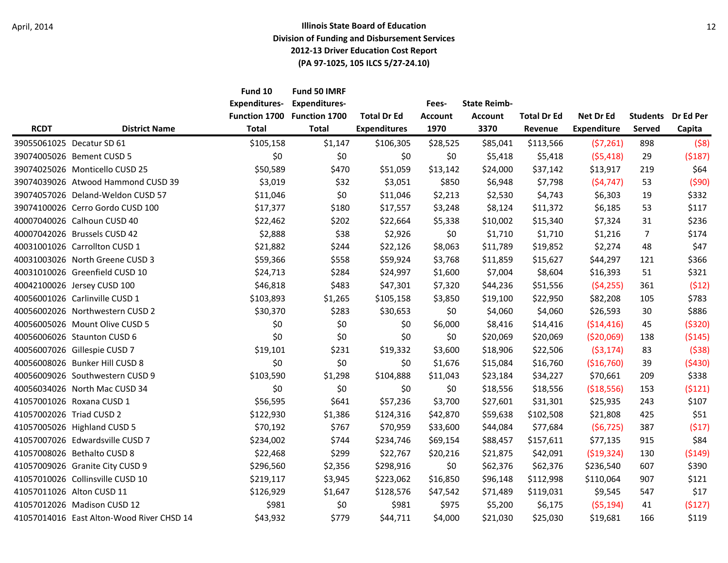|                          |                                           | Fund 10<br><b>Expenditures-</b><br>Function 1700 | Fund 50 IMRF<br><b>Expenditures-</b><br><b>Function 1700</b> | <b>Total Dr Ed</b>  | Fees-<br><b>Account</b> | <b>State Reimb-</b><br><b>Account</b> | <b>Total Dr Ed</b> | Net Dr Ed          | <b>Students</b> | Dr Ed Per |
|--------------------------|-------------------------------------------|--------------------------------------------------|--------------------------------------------------------------|---------------------|-------------------------|---------------------------------------|--------------------|--------------------|-----------------|-----------|
| <b>RCDT</b>              | <b>District Name</b>                      | <b>Total</b>                                     | <b>Total</b>                                                 | <b>Expenditures</b> | 1970                    | 3370                                  | Revenue            | <b>Expenditure</b> | Served          | Capita    |
|                          | 39055061025 Decatur SD 61                 | \$105,158                                        | \$1,147                                                      | \$106,305           | \$28,525                | \$85,041                              | \$113,566          | (57, 261)          | 898             | (58)      |
|                          | 39074005026 Bement CUSD 5                 | \$0                                              | \$0                                                          | \$0                 | \$0                     | \$5,418                               | \$5,418            | (55, 418)          | 29              | (5187)    |
|                          | 39074025026 Monticello CUSD 25            | \$50,589                                         | \$470                                                        | \$51,059            | \$13,142                | \$24,000                              | \$37,142           | \$13,917           | 219             | \$64      |
|                          | 39074039026 Atwood Hammond CUSD 39        | \$3,019                                          | \$32                                                         | \$3,051             | \$850                   | \$6,948                               | \$7,798            | (54, 747)          | 53              | (590)     |
|                          | 39074057026 Deland-Weldon CUSD 57         | \$11,046                                         | \$0                                                          | \$11,046            | \$2,213                 | \$2,530                               | \$4,743            | \$6,303            | 19              | \$332     |
|                          | 39074100026 Cerro Gordo CUSD 100          | \$17,377                                         | \$180                                                        | \$17,557            | \$3,248                 | \$8,124                               | \$11,372           | \$6,185            | 53              | \$117     |
|                          | 40007040026 Calhoun CUSD 40               | \$22,462                                         | \$202                                                        | \$22,664            | \$5,338                 | \$10,002                              | \$15,340           | \$7,324            | 31              | \$236     |
|                          | 40007042026 Brussels CUSD 42              | \$2,888                                          | \$38                                                         | \$2,926             | \$0                     | \$1,710                               | \$1,710            | \$1,216            | 7               | \$174     |
|                          | 40031001026 Carrollton CUSD 1             | \$21,882                                         | \$244                                                        | \$22,126            | \$8,063                 | \$11,789                              | \$19,852           | \$2,274            | 48              | \$47      |
|                          | 40031003026 North Greene CUSD 3           | \$59,366                                         | \$558                                                        | \$59,924            | \$3,768                 | \$11,859                              | \$15,627           | \$44,297           | 121             | \$366     |
|                          | 40031010026 Greenfield CUSD 10            | \$24,713                                         | \$284                                                        | \$24,997            | \$1,600                 | \$7,004                               | \$8,604            | \$16,393           | 51              | \$321     |
|                          | 40042100026 Jersey CUSD 100               | \$46,818                                         | \$483                                                        | \$47,301            | \$7,320                 | \$44,236                              | \$51,556           | (54, 255)          | 361             | (512)     |
|                          | 40056001026 Carlinville CUSD 1            | \$103,893                                        | \$1,265                                                      | \$105,158           | \$3,850                 | \$19,100                              | \$22,950           | \$82,208           | 105             | \$783     |
|                          | 40056002026 Northwestern CUSD 2           | \$30,370                                         | \$283                                                        | \$30,653            | \$0                     | \$4,060                               | \$4,060            | \$26,593           | 30              | \$886     |
|                          | 40056005026 Mount Olive CUSD 5            | \$0                                              | \$0                                                          | \$0                 | \$6,000                 | \$8,416                               | \$14,416           | ( \$14, 416)       | 45              | ( \$320)  |
|                          | 40056006026 Staunton CUSD 6               | \$0                                              | \$0                                                          | \$0                 | \$0                     | \$20,069                              | \$20,069           | (520,069)          | 138             | (5145)    |
|                          | 40056007026 Gillespie CUSD 7              | \$19,101                                         | \$231                                                        | \$19,332            | \$3,600                 | \$18,906                              | \$22,506           | ( \$3,174)         | 83              | (538)     |
|                          | 40056008026 Bunker Hill CUSD 8            | \$0                                              | \$0                                                          | \$0                 | \$1,676                 | \$15,084                              | \$16,760           | (\$16,760)         | 39              | (5430)    |
|                          | 40056009026 Southwestern CUSD 9           | \$103,590                                        | \$1,298                                                      | \$104,888           | \$11,043                | \$23,184                              | \$34,227           | \$70,661           | 209             | \$338     |
|                          | 40056034026 North Mac CUSD 34             | \$0                                              | \$0                                                          | \$0                 | \$0                     | \$18,556                              | \$18,556           | (\$18,556)         | 153             | (5121)    |
|                          | 41057001026 Roxana CUSD 1                 | \$56,595                                         | \$641                                                        | \$57,236            | \$3,700                 | \$27,601                              | \$31,301           | \$25,935           | 243             | \$107     |
| 41057002026 Triad CUSD 2 |                                           | \$122,930                                        | \$1,386                                                      | \$124,316           | \$42,870                | \$59,638                              | \$102,508          | \$21,808           | 425             | \$51      |
|                          | 41057005026 Highland CUSD 5               | \$70,192                                         | \$767                                                        | \$70,959            | \$33,600                | \$44,084                              | \$77,684           | (56, 725)          | 387             | (517)     |
|                          | 41057007026 Edwardsville CUSD 7           | \$234,002                                        | \$744                                                        | \$234,746           | \$69,154                | \$88,457                              | \$157,611          | \$77,135           | 915             | \$84      |
|                          | 41057008026 Bethalto CUSD 8               | \$22,468                                         | \$299                                                        | \$22,767            | \$20,216                | \$21,875                              | \$42,091           | ( \$19, 324)       | 130             | ( \$149)  |
|                          | 41057009026 Granite City CUSD 9           | \$296,560                                        | \$2,356                                                      | \$298,916           | \$0                     | \$62,376                              | \$62,376           | \$236,540          | 607             | \$390     |
|                          | 41057010026 Collinsville CUSD 10          | \$219,117                                        | \$3,945                                                      | \$223,062           | \$16,850                | \$96,148                              | \$112,998          | \$110,064          | 907             | \$121     |
|                          | 41057011026 Alton CUSD 11                 | \$126,929                                        | \$1,647                                                      | \$128,576           | \$47,542                | \$71,489                              | \$119,031          | \$9,545            | 547             | \$17      |
|                          | 41057012026 Madison CUSD 12               | \$981                                            | \$0                                                          | \$981               | \$975                   | \$5,200                               | \$6,175            | (55, 194)          | 41              | (5127)    |
|                          | 41057014016 East Alton-Wood River CHSD 14 | \$43,932                                         | \$779                                                        | \$44,711            | \$4,000                 | \$21,030                              | \$25,030           | \$19,681           | 166             | \$119     |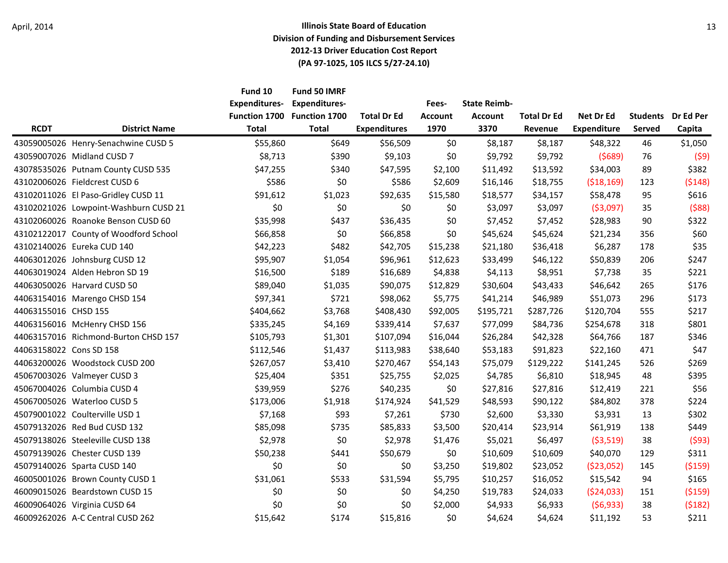|                         |                                       | Fund 10<br><b>Expenditures-</b><br>Function 1700 | Fund 50 IMRF<br><b>Expenditures-</b><br><b>Function 1700</b> | <b>Total Dr Ed</b>  | Fees-<br><b>Account</b><br>1970 | <b>State Reimb-</b><br><b>Account</b> | <b>Total Dr Ed</b> | Net Dr Ed<br><b>Expenditure</b> | <b>Students</b><br>Served | Dr Ed Per<br>Capita |
|-------------------------|---------------------------------------|--------------------------------------------------|--------------------------------------------------------------|---------------------|---------------------------------|---------------------------------------|--------------------|---------------------------------|---------------------------|---------------------|
| <b>RCDT</b>             | <b>District Name</b>                  | <b>Total</b>                                     | <b>Total</b>                                                 | <b>Expenditures</b> |                                 | 3370                                  | Revenue            |                                 |                           |                     |
|                         | 43059005026 Henry-Senachwine CUSD 5   | \$55,860                                         | \$649                                                        | \$56,509            | \$0                             | \$8,187                               | \$8,187            | \$48,322                        | 46                        | \$1,050             |
|                         | 43059007026 Midland CUSD 7            | \$8,713                                          | \$390                                                        | \$9,103             | \$0                             | \$9,792                               | \$9,792            | (5689)                          | 76                        | (59)                |
|                         | 43078535026 Putnam County CUSD 535    | \$47,255                                         | \$340                                                        | \$47,595            | \$2,100                         | \$11,492                              | \$13,592           | \$34,003                        | 89                        | \$382               |
|                         | 43102006026 Fieldcrest CUSD 6         | \$586                                            | \$0                                                          | \$586               | \$2,609                         | \$16,146                              | \$18,755           | ( \$18, 169)                    | 123                       | (5148)              |
|                         | 43102011026 El Paso-Gridley CUSD 11   | \$91,612                                         | \$1,023                                                      | \$92,635            | \$15,580                        | \$18,577                              | \$34,157           | \$58,478                        | 95                        | \$616               |
|                         | 43102021026 Lowpoint-Washburn CUSD 21 | \$0                                              | \$0                                                          | \$0                 | \$0                             | \$3,097                               | \$3,097            | ( \$3,097)                      | 35                        | (588)               |
|                         | 43102060026 Roanoke Benson CUSD 60    | \$35,998                                         | \$437                                                        | \$36,435            | \$0                             | \$7,452                               | \$7,452            | \$28,983                        | 90                        | \$322               |
|                         | 43102122017 County of Woodford School | \$66,858                                         | \$0                                                          | \$66,858            | \$0                             | \$45,624                              | \$45,624           | \$21,234                        | 356                       | \$60                |
|                         | 43102140026 Eureka CUD 140            | \$42,223                                         | \$482                                                        | \$42,705            | \$15,238                        | \$21,180                              | \$36,418           | \$6,287                         | 178                       | \$35                |
|                         | 44063012026 Johnsburg CUSD 12         | \$95,907                                         | \$1,054                                                      | \$96,961            | \$12,623                        | \$33,499                              | \$46,122           | \$50,839                        | 206                       | \$247               |
|                         | 44063019024 Alden Hebron SD 19        | \$16,500                                         | \$189                                                        | \$16,689            | \$4,838                         | \$4,113                               | \$8,951            | \$7,738                         | 35                        | \$221               |
|                         | 44063050026 Harvard CUSD 50           | \$89,040                                         | \$1,035                                                      | \$90,075            | \$12,829                        | \$30,604                              | \$43,433           | \$46,642                        | 265                       | \$176               |
|                         | 44063154016 Marengo CHSD 154          | \$97,341                                         | \$721                                                        | \$98,062            | \$5,775                         | \$41,214                              | \$46,989           | \$51,073                        | 296                       | \$173               |
| 44063155016 CHSD 155    |                                       | \$404,662                                        | \$3,768                                                      | \$408,430           | \$92,005                        | \$195,721                             | \$287,726          | \$120,704                       | 555                       | \$217               |
|                         | 44063156016 McHenry CHSD 156          | \$335,245                                        | \$4,169                                                      | \$339,414           | \$7,637                         | \$77,099                              | \$84,736           | \$254,678                       | 318                       | \$801               |
|                         | 44063157016 Richmond-Burton CHSD 157  | \$105,793                                        | \$1,301                                                      | \$107,094           | \$16,044                        | \$26,284                              | \$42,328           | \$64,766                        | 187                       | \$346               |
| 44063158022 Cons SD 158 |                                       | \$112,546                                        | \$1,437                                                      | \$113,983           | \$38,640                        | \$53,183                              | \$91,823           | \$22,160                        | 471                       | \$47                |
|                         | 44063200026 Woodstock CUSD 200        | \$267,057                                        | \$3,410                                                      | \$270,467           | \$54,143                        | \$75,079                              | \$129,222          | \$141,245                       | 526                       | \$269               |
|                         | 45067003026 Valmeyer CUSD 3           | \$25,404                                         | \$351                                                        | \$25,755            | \$2,025                         | \$4,785                               | \$6,810            | \$18,945                        | 48                        | \$395               |
|                         | 45067004026 Columbia CUSD 4           | \$39,959                                         | \$276                                                        | \$40,235            | \$0                             | \$27,816                              | \$27,816           | \$12,419                        | 221                       | \$56                |
|                         | 45067005026 Waterloo CUSD 5           | \$173,006                                        | \$1,918                                                      | \$174,924           | \$41,529                        | \$48,593                              | \$90,122           | \$84,802                        | 378                       | \$224               |
|                         | 45079001022 Coulterville USD 1        | \$7,168                                          | \$93                                                         | \$7,261             | \$730                           | \$2,600                               | \$3,330            | \$3,931                         | 13                        | \$302               |
|                         | 45079132026 Red Bud CUSD 132          | \$85,098                                         | \$735                                                        | \$85,833            | \$3,500                         | \$20,414                              | \$23,914           | \$61,919                        | 138                       | \$449               |
|                         | 45079138026 Steeleville CUSD 138      | \$2,978                                          | \$0                                                          | \$2,978             | \$1,476                         | \$5,021                               | \$6,497            | ( \$3,519)                      | 38                        | (593)               |
|                         | 45079139026 Chester CUSD 139          | \$50,238                                         | \$441                                                        | \$50,679            | \$0                             | \$10,609                              | \$10,609           | \$40,070                        | 129                       | \$311               |
|                         | 45079140026 Sparta CUSD 140           | \$0                                              | \$0                                                          | \$0                 | \$3,250                         | \$19,802                              | \$23,052           | (523,052)                       | 145                       | ( \$159)            |
|                         | 46005001026 Brown County CUSD 1       | \$31,061                                         | \$533                                                        | \$31,594            | \$5,795                         | \$10,257                              | \$16,052           | \$15,542                        | 94                        | \$165               |
|                         | 46009015026 Beardstown CUSD 15        | \$0                                              | \$0                                                          | \$0                 | \$4,250                         | \$19,783                              | \$24,033           | (524, 033)                      | 151                       | ( \$159)            |
|                         | 46009064026 Virginia CUSD 64          | \$0                                              | \$0                                                          | \$0                 | \$2,000                         | \$4,933                               | \$6,933            | (56, 933)                       | 38                        | (5182)              |
|                         | 46009262026 A-C Central CUSD 262      | \$15,642                                         | \$174                                                        | \$15,816            | \$0                             | \$4,624                               | \$4,624            | \$11,192                        | 53                        | \$211               |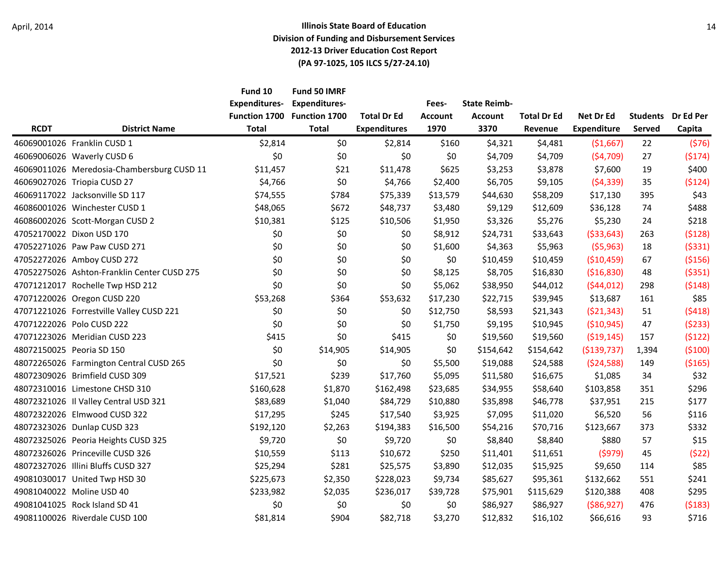| <b>RCDT</b> | <b>District Name</b>                        | Fund 10<br><b>Expenditures-</b><br>Function 1700<br><b>Total</b> | Fund 50 IMRF<br><b>Expenditures-</b><br>Function 1700<br><b>Total</b> | <b>Total Dr Ed</b><br><b>Expenditures</b> | Fees-<br><b>Account</b><br>1970 | <b>State Reimb-</b><br><b>Account</b><br>3370 | <b>Total Dr Ed</b><br>Revenue | Net Dr Ed<br><b>Expenditure</b> | <b>Students</b><br>Served | Dr Ed Per<br>Capita |
|-------------|---------------------------------------------|------------------------------------------------------------------|-----------------------------------------------------------------------|-------------------------------------------|---------------------------------|-----------------------------------------------|-------------------------------|---------------------------------|---------------------------|---------------------|
|             | 46069001026 Franklin CUSD 1                 | \$2,814                                                          | \$0                                                                   | \$2,814                                   | \$160                           | \$4,321                                       | \$4,481                       | (\$1,667)                       | 22                        | (576)               |
|             | 46069006026 Waverly CUSD 6                  | \$0                                                              | \$0                                                                   | \$0                                       | \$0                             | \$4,709                                       | \$4,709                       | (54, 709)                       | 27                        | (5174)              |
|             | 46069011026 Meredosia-Chambersburg CUSD 11  | \$11,457                                                         | \$21                                                                  | \$11,478                                  | \$625                           | \$3,253                                       | \$3,878                       | \$7,600                         | 19                        | \$400               |
|             | 46069027026 Triopia CUSD 27                 | \$4,766                                                          | \$0                                                                   | \$4,766                                   | \$2,400                         | \$6,705                                       | \$9,105                       | (54, 339)                       | 35                        | (5124)              |
|             | 46069117022 Jacksonville SD 117             | \$74,555                                                         | \$784                                                                 | \$75,339                                  | \$13,579                        | \$44,630                                      | \$58,209                      | \$17,130                        | 395                       | \$43                |
|             | 46086001026 Winchester CUSD 1               | \$48,065                                                         | \$672                                                                 | \$48,737                                  | \$3,480                         | \$9,129                                       | \$12,609                      | \$36,128                        | 74                        | \$488               |
|             | 46086002026 Scott-Morgan CUSD 2             | \$10,381                                                         | \$125                                                                 | \$10,506                                  | \$1,950                         | \$3,326                                       | \$5,276                       | \$5,230                         | 24                        | \$218               |
|             | 47052170022 Dixon USD 170                   | \$0                                                              | \$0                                                                   | \$0                                       | \$8,912                         | \$24,731                                      | \$33,643                      | ( \$33,643)                     | 263                       | (5128)              |
|             | 47052271026 Paw Paw CUSD 271                | \$0                                                              | \$0                                                                   | \$0                                       | \$1,600                         | \$4,363                                       | \$5,963                       | (55, 963)                       | 18                        | (5331)              |
|             | 47052272026 Amboy CUSD 272                  | \$0                                                              | \$0                                                                   | \$0                                       | \$0                             | \$10,459                                      | \$10,459                      | ( \$10,459)                     | 67                        | ( \$156)            |
|             | 47052275026 Ashton-Franklin Center CUSD 275 | \$0                                                              | \$0                                                                   | \$0                                       | \$8,125                         | \$8,705                                       | \$16,830                      | ( \$16, 830)                    | 48                        | ( \$351)            |
|             | 47071212017 Rochelle Twp HSD 212            | \$0                                                              | \$0                                                                   | \$0                                       | \$5,062                         | \$38,950                                      | \$44,012                      | (544, 012)                      | 298                       | (5148)              |
|             | 47071220026 Oregon CUSD 220                 | \$53,268                                                         | \$364                                                                 | \$53,632                                  | \$17,230                        | \$22,715                                      | \$39,945                      | \$13,687                        | 161                       | \$85                |
|             | 47071221026 Forrestville Valley CUSD 221    | \$0                                                              | \$0                                                                   | \$0                                       | \$12,750                        | \$8,593                                       | \$21,343                      | (521, 343)                      | 51                        | (5418)              |
|             | 47071222026 Polo CUSD 222                   | \$0                                                              | \$0                                                                   | \$0                                       | \$1,750                         | \$9,195                                       | \$10,945                      | ( \$10, 945)                    | 47                        | (5233)              |
|             | 47071223026 Meridian CUSD 223               | \$415                                                            | \$0                                                                   | \$415                                     | \$0                             | \$19,560                                      | \$19,560                      | (519, 145)                      | 157                       | (5122)              |
|             | 48072150025 Peoria SD 150                   | \$0                                                              | \$14,905                                                              | \$14,905                                  | \$0                             | \$154,642                                     | \$154,642                     | (\$139,737)                     | 1,394                     | (5100)              |
|             | 48072265026 Farmington Central CUSD 265     | \$0                                                              | \$0                                                                   | \$0                                       | \$5,500                         | \$19,088                                      | \$24,588                      | (524,588)                       | 149                       | ( \$165)            |
|             | 48072309026 Brimfield CUSD 309              | \$17,521                                                         | \$239                                                                 | \$17,760                                  | \$5,095                         | \$11,580                                      | \$16,675                      | \$1,085                         | 34                        | \$32                |
|             | 48072310016 Limestone CHSD 310              | \$160,628                                                        | \$1,870                                                               | \$162,498                                 | \$23,685                        | \$34,955                                      | \$58,640                      | \$103,858                       | 351                       | \$296               |
|             | 48072321026 Il Valley Central USD 321       | \$83,689                                                         | \$1,040                                                               | \$84,729                                  | \$10,880                        | \$35,898                                      | \$46,778                      | \$37,951                        | 215                       | \$177               |
|             | 48072322026 Elmwood CUSD 322                | \$17,295                                                         | \$245                                                                 | \$17,540                                  | \$3,925                         | \$7,095                                       | \$11,020                      | \$6,520                         | 56                        | \$116               |
|             | 48072323026 Dunlap CUSD 323                 | \$192,120                                                        | \$2,263                                                               | \$194,383                                 | \$16,500                        | \$54,216                                      | \$70,716                      | \$123,667                       | 373                       | \$332               |
|             | 48072325026 Peoria Heights CUSD 325         | \$9,720                                                          | \$0                                                                   | \$9,720                                   | \$0                             | \$8,840                                       | \$8,840                       | \$880                           | 57                        | \$15                |
|             | 48072326026 Princeville CUSD 326            | \$10,559                                                         | \$113                                                                 | \$10,672                                  | \$250                           | \$11,401                                      | \$11,651                      | (5979)                          | 45                        | (522)               |
|             | 48072327026 Illini Bluffs CUSD 327          | \$25,294                                                         | \$281                                                                 | \$25,575                                  | \$3,890                         | \$12,035                                      | \$15,925                      | \$9,650                         | 114                       | \$85                |
|             | 49081030017 United Twp HSD 30               | \$225,673                                                        | \$2,350                                                               | \$228,023                                 | \$9,734                         | \$85,627                                      | \$95,361                      | \$132,662                       | 551                       | \$241               |
|             | 49081040022 Moline USD 40                   | \$233,982                                                        | \$2,035                                                               | \$236,017                                 | \$39,728                        | \$75,901                                      | \$115,629                     | \$120,388                       | 408                       | \$295               |
|             | 49081041025 Rock Island SD 41               | \$0                                                              | \$0                                                                   | \$0                                       | \$0                             | \$86,927                                      | \$86,927                      | ( \$86, 927)                    | 476                       | (5183)              |
|             | 49081100026 Riverdale CUSD 100              | \$81,814                                                         | \$904                                                                 | \$82,718                                  | \$3,270                         | \$12,832                                      | \$16,102                      | \$66,616                        | 93                        | \$716               |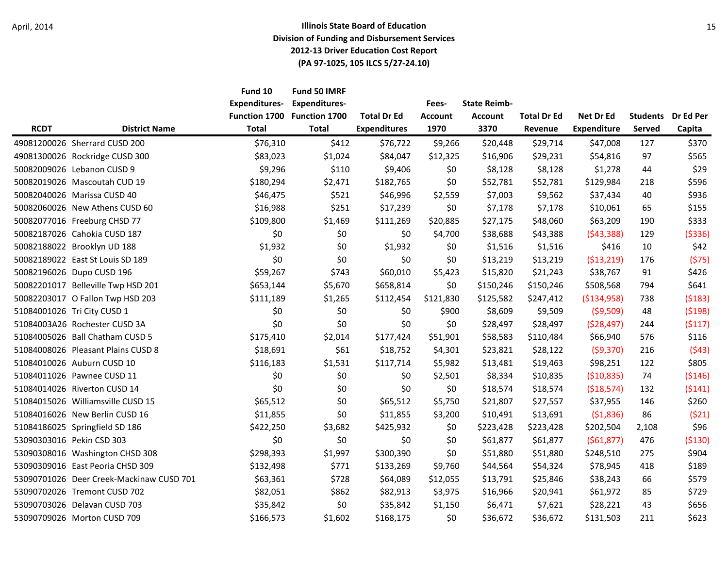|             |                                          | Fund 10<br><b>Expenditures-</b> | Fund 50 IMRF<br><b>Expenditures-</b> |                     | Fees-          | <b>State Reimb-</b> |                    |                    |                 |           |
|-------------|------------------------------------------|---------------------------------|--------------------------------------|---------------------|----------------|---------------------|--------------------|--------------------|-----------------|-----------|
|             |                                          | Function 1700                   | Function 1700                        | <b>Total Dr Ed</b>  | <b>Account</b> | <b>Account</b>      | <b>Total Dr Ed</b> | Net Dr Ed          | <b>Students</b> | Dr Ed Per |
| <b>RCDT</b> | <b>District Name</b>                     | <b>Total</b>                    | <b>Total</b>                         | <b>Expenditures</b> | 1970           | 3370                | Revenue            | <b>Expenditure</b> | Served          | Capita    |
|             | 49081200026 Sherrard CUSD 200            | \$76,310                        | \$412                                | \$76,722            | \$9,266        | \$20,448            | \$29,714           | \$47,008           | 127             | \$370     |
|             | 49081300026 Rockridge CUSD 300           | \$83,023                        | \$1,024                              | \$84,047            | \$12,325       | \$16,906            | \$29,231           | \$54,816           | 97              | \$565     |
|             | 50082009026 Lebanon CUSD 9               | \$9,296                         | \$110                                | \$9,406             | \$0            | \$8,128             | \$8,128            | \$1,278            | 44              | \$29      |
|             | 50082019026 Mascoutah CUD 19             | \$180,294                       | \$2,471                              | \$182,765           | \$0            | \$52,781            | \$52,781           | \$129,984          | 218             | \$596     |
|             | 50082040026 Marissa CUSD 40              | \$46,475                        | \$521                                | \$46,996            | \$2,559        | \$7,003             | \$9,562            | \$37,434           | 40              | \$936     |
|             | 50082060026 New Athens CUSD 60           | \$16,988                        | \$251                                | \$17,239            | \$0            | \$7,178             | \$7,178            | \$10,061           | 65              | \$155     |
|             | 50082077016 Freeburg CHSD 77             | \$109,800                       | \$1,469                              | \$111,269           | \$20,885       | \$27,175            | \$48,060           | \$63,209           | 190             | \$333     |
|             | 50082187026 Cahokia CUSD 187             | \$0                             | \$0\$                                | \$0                 | \$4,700        | \$38,688            | \$43,388           | (543, 388)         | 129             | ( \$336)  |
|             | 50082188022 Brooklyn UD 188              | \$1,932                         | \$0                                  | \$1,932             | \$0\$          | \$1,516             | \$1,516            | \$416              | 10              | \$42      |
|             | 50082189022 East St Louis SD 189         | \$0                             | \$0                                  | \$0                 | \$0            | \$13,219            | \$13,219           | ( \$13, 219)       | 176             | (575)     |
|             | 50082196026 Dupo CUSD 196                | \$59,267                        | \$743                                | \$60,010            | \$5,423        | \$15,820            | \$21,243           | \$38,767           | 91              | \$426     |
|             | 50082201017 Belleville Twp HSD 201       | \$653,144                       | \$5,670                              | \$658,814           | \$0            | \$150,246           | \$150,246          | \$508,568          | 794             | \$641     |
|             | 50082203017 O Fallon Twp HSD 203         | \$111,189                       | \$1,265                              | \$112,454           | \$121,830      | \$125,582           | \$247,412          | ( \$134, 958)      | 738             | (5183)    |
|             | 51084001026 Tri City CUSD 1              | \$0                             | \$0                                  | \$0                 | \$900          | \$8,609             | \$9,509            | (59,509)           | 48              | (5198)    |
|             | 51084003A26 Rochester CUSD 3A            | \$0                             | \$0                                  | \$0                 | \$0            | \$28,497            | \$28,497           | (528, 497)         | 244             | (5117)    |
|             | 51084005026 Ball Chatham CUSD 5          | \$175,410                       | \$2,014                              | \$177,424           | \$51,901       | \$58,583            | \$110,484          | \$66,940           | 576             | \$116     |
|             | 51084008026 Pleasant Plains CUSD 8       | \$18,691                        | \$61                                 | \$18,752            | \$4,301        | \$23,821            | \$28,122           | (59,370)           | 216             | (543)     |
|             | 51084010026 Auburn CUSD 10               | \$116,183                       | \$1,531                              | \$117,714           | \$5,982        | \$13,481            | \$19,463           | \$98,251           | 122             | \$805     |
|             | 51084011026 Pawnee CUSD 11               | \$0                             | \$0                                  | \$0                 | \$2,501        | \$8,334             | \$10,835           | (510, 835)         | 74              | (5146)    |
|             | 51084014026 Riverton CUSD 14             | \$0                             | \$0                                  | \$0                 | \$0            | \$18,574            | \$18,574           | (\$18,574)         | 132             | (5141)    |
|             | 51084015026 Williamsville CUSD 15        | \$65,512                        | \$0                                  | \$65,512            | \$5,750        | \$21,807            | \$27,557           | \$37,955           | 146             | \$260     |
|             | 51084016026 New Berlin CUSD 16           | \$11,855                        | \$0                                  | \$11,855            | \$3,200        | \$10,491            | \$13,691           | (51,836)           | 86              | (521)     |
|             | 51084186025 Springfield SD 186           | \$422,250                       | \$3,682                              | \$425,932           | \$0            | \$223,428           | \$223,428          | \$202,504          | 2,108           | \$96      |
|             | 53090303016 Pekin CSD 303                | \$0                             | \$0                                  | \$0                 | \$0            | \$61,877            | \$61,877           | (561, 877)         | 476             | ( \$130)  |
|             | 53090308016 Washington CHSD 308          | \$298,393                       | \$1,997                              | \$300,390           | \$0            | \$51,880            | \$51,880           | \$248,510          | 275             | \$904     |
|             | 53090309016 East Peoria CHSD 309         | \$132,498                       | \$771                                | \$133,269           | \$9,760        | \$44,564            | \$54,324           | \$78,945           | 418             | \$189     |
|             | 53090701026 Deer Creek-Mackinaw CUSD 701 | \$63,361                        | \$728                                | \$64,089            | \$12,055       | \$13,791            | \$25,846           | \$38,243           | 66              | \$579     |
|             | 53090702026 Tremont CUSD 702             | \$82,051                        | \$862                                | \$82,913            | \$3,975        | \$16,966            | \$20,941           | \$61,972           | 85              | \$729     |
|             | 53090703026 Delavan CUSD 703             | \$35,842                        | \$0                                  | \$35,842            | \$1,150        | \$6,471             | \$7,621            | \$28,221           | 43              | \$656     |
|             | 53090709026 Morton CUSD 709              | \$166,573                       | \$1,602                              | \$168,175           | \$0            | \$36,672            | \$36,672           | \$131,503          | 211             | \$623     |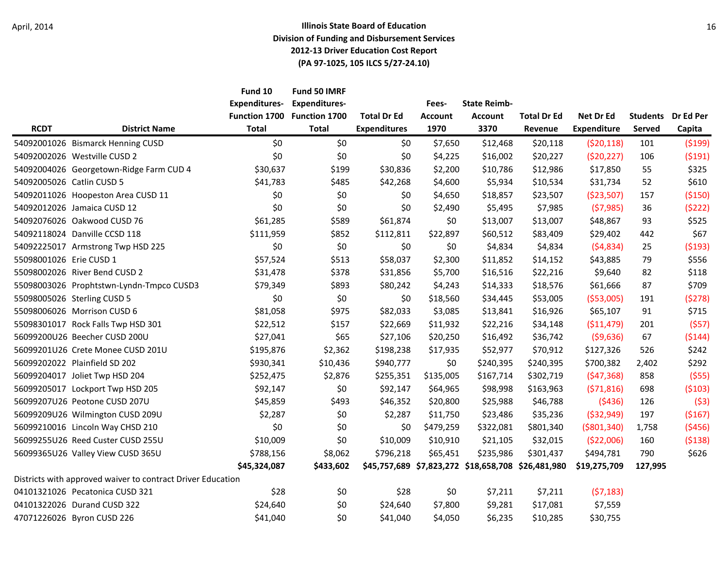|                           |                                                             | Fund 10<br><b>Expenditures-</b>      | Fund 50 IMRF<br><b>Expenditures-</b> |                                           | Fees-<br><b>Account</b><br>1970 | <b>State Reimb-</b>                                | <b>Total Dr Ed</b> | Net Dr Ed<br><b>Expenditure</b> | <b>Students</b><br><b>Served</b> | Dr Ed Per<br>Capita |
|---------------------------|-------------------------------------------------------------|--------------------------------------|--------------------------------------|-------------------------------------------|---------------------------------|----------------------------------------------------|--------------------|---------------------------------|----------------------------------|---------------------|
|                           | <b>District Name</b>                                        | <b>Function 1700</b><br><b>Total</b> | Function 1700<br><b>Total</b>        | <b>Total Dr Ed</b><br><b>Expenditures</b> |                                 | <b>Account</b>                                     |                    |                                 |                                  |                     |
| <b>RCDT</b>               |                                                             |                                      |                                      |                                           |                                 | 3370                                               | Revenue            |                                 |                                  |                     |
|                           | 54092001026 Bismarck Henning CUSD                           | \$0                                  | \$0\$                                | \$0                                       | \$7,650                         | \$12,468                                           | \$20,118           | (520, 118)                      | 101                              | (5199)              |
|                           | 54092002026 Westville CUSD 2                                | \$0                                  | \$0                                  | \$0                                       | \$4,225                         | \$16,002                                           | \$20,227           | (520, 227)                      | 106                              | (5191)              |
|                           | 54092004026 Georgetown-Ridge Farm CUD 4                     | \$30,637                             | \$199                                | \$30,836                                  | \$2,200                         | \$10,786                                           | \$12,986           | \$17,850                        | 55                               | \$325               |
| 54092005026 Catlin CUSD 5 |                                                             | \$41,783                             | \$485                                | \$42,268                                  | \$4,600                         | \$5,934                                            | \$10,534           | \$31,734                        | 52                               | \$610               |
|                           | 54092011026 Hoopeston Area CUSD 11                          | \$0\$                                | \$0                                  | \$0                                       | \$4,650                         | \$18,857                                           | \$23,507           | ( \$23,507)                     | 157                              | ( \$150)            |
|                           | 54092012026 Jamaica CUSD 12                                 | \$0                                  | \$0                                  | \$0                                       | \$2,490                         | \$5,495                                            | \$7,985            | (57, 985)                       | 36                               | (5222)              |
|                           | 54092076026 Oakwood CUSD 76                                 | \$61,285                             | \$589                                | \$61,874                                  | \$0                             | \$13,007                                           | \$13,007           | \$48,867                        | 93                               | \$525               |
|                           | 54092118024 Danville CCSD 118                               | \$111,959                            | \$852                                | \$112,811                                 | \$22,897                        | \$60,512                                           | \$83,409           | \$29,402                        | 442                              | \$67                |
|                           | 54092225017 Armstrong Twp HSD 225                           | \$0                                  | \$0                                  | \$0                                       | \$0                             | \$4,834                                            | \$4,834            | (54,834)                        | 25                               | (5193)              |
| 55098001026 Erie CUSD 1   |                                                             | \$57,524                             | \$513                                | \$58,037                                  | \$2,300                         | \$11,852                                           | \$14,152           | \$43,885                        | 79                               | \$556               |
|                           | 55098002026 River Bend CUSD 2                               | \$31,478                             | \$378                                | \$31,856                                  | \$5,700                         | \$16,516                                           | \$22,216           | \$9,640                         | 82                               | \$118               |
|                           | 55098003026 Prophtstwn-Lyndn-Tmpco CUSD3                    | \$79,349                             | \$893                                | \$80,242                                  | \$4,243                         | \$14,333                                           | \$18,576           | \$61,666                        | 87                               | \$709               |
|                           | 55098005026 Sterling CUSD 5                                 | \$0                                  | \$0                                  | \$0                                       | \$18,560                        | \$34,445                                           | \$53,005           | ( \$53,005)                     | 191                              | (5278)              |
|                           | 55098006026 Morrison CUSD 6                                 | \$81,058                             | \$975                                | \$82,033                                  | \$3,085                         | \$13,841                                           | \$16,926           | \$65,107                        | 91                               | \$715               |
|                           | 55098301017 Rock Falls Twp HSD 301                          | \$22,512                             | \$157                                | \$22,669                                  | \$11,932                        | \$22,216                                           | \$34,148           | ( \$11,479)                     | 201                              | (557)               |
|                           | 56099200U26 Beecher CUSD 200U                               | \$27,041                             | \$65                                 | \$27,106                                  | \$20,250                        | \$16,492                                           | \$36,742           | (59, 636)                       | 67                               | (5144)              |
|                           | 56099201U26 Crete Monee CUSD 201U                           | \$195,876                            | \$2,362                              | \$198,238                                 | \$17,935                        | \$52,977                                           | \$70,912           | \$127,326                       | 526                              | \$242               |
|                           | 56099202022 Plainfield SD 202                               | \$930,341                            | \$10,436                             | \$940,777                                 | \$0                             | \$240,395                                          | \$240,395          | \$700,382                       | 2,402                            | \$292               |
|                           | 56099204017 Joliet Twp HSD 204                              | \$252,475                            | \$2,876                              | \$255,351                                 | \$135,005                       | \$167,714                                          | \$302,719          | (547, 368)                      | 858                              | (555)               |
|                           | 56099205017 Lockport Twp HSD 205                            | \$92,147                             | \$0                                  | \$92,147                                  | \$64,965                        | \$98,998                                           | \$163,963          | (571, 816)                      | 698                              | (5103)              |
|                           | 56099207U26 Peotone CUSD 207U                               | \$45,859                             | \$493                                | \$46,352                                  | \$20,800                        | \$25,988                                           | \$46,788           | (5436)                          | 126                              | (53)                |
|                           | 56099209U26 Wilmington CUSD 209U                            | \$2,287                              | \$0                                  | \$2,287                                   | \$11,750                        | \$23,486                                           | \$35,236           | ( \$32, 949)                    | 197                              | (5167)              |
|                           | 56099210016 Lincoln Way CHSD 210                            | \$0                                  | \$0                                  | \$0                                       | \$479,259                       | \$322,081                                          | \$801,340          | ( \$801, 340)                   | 1,758                            | (5456)              |
|                           | 56099255U26 Reed Custer CUSD 255U                           | \$10,009                             | \$0                                  | \$10,009                                  | \$10,910                        | \$21,105                                           | \$32,015           | (522,006)                       | 160                              | ( \$138)            |
|                           | 56099365U26 Valley View CUSD 365U                           | \$788,156                            | \$8,062                              | \$796,218                                 | \$65,451                        | \$235,986                                          | \$301,437          | \$494,781                       | 790                              | \$626               |
|                           |                                                             | \$45,324,087                         | \$433,602                            |                                           |                                 | \$45,757,689 \$7,823,272 \$18,658,708 \$26,481,980 |                    | \$19,275,709                    | 127,995                          |                     |
|                           | Districts with approved waiver to contract Driver Education |                                      |                                      |                                           |                                 |                                                    |                    |                                 |                                  |                     |
|                           | 04101321026 Pecatonica CUSD 321                             | \$28                                 | \$0                                  | \$28                                      | \$0                             | \$7,211                                            | \$7,211            | (57, 183)                       |                                  |                     |
|                           | 04101322026 Durand CUSD 322                                 | \$24,640                             | \$0                                  | \$24,640                                  | \$7,800                         | \$9,281                                            | \$17,081           | \$7,559                         |                                  |                     |
|                           | 47071226026 Byron CUSD 226                                  | \$41,040                             | \$0                                  | \$41,040                                  | \$4,050                         | \$6,235                                            | \$10,285           | \$30,755                        |                                  |                     |